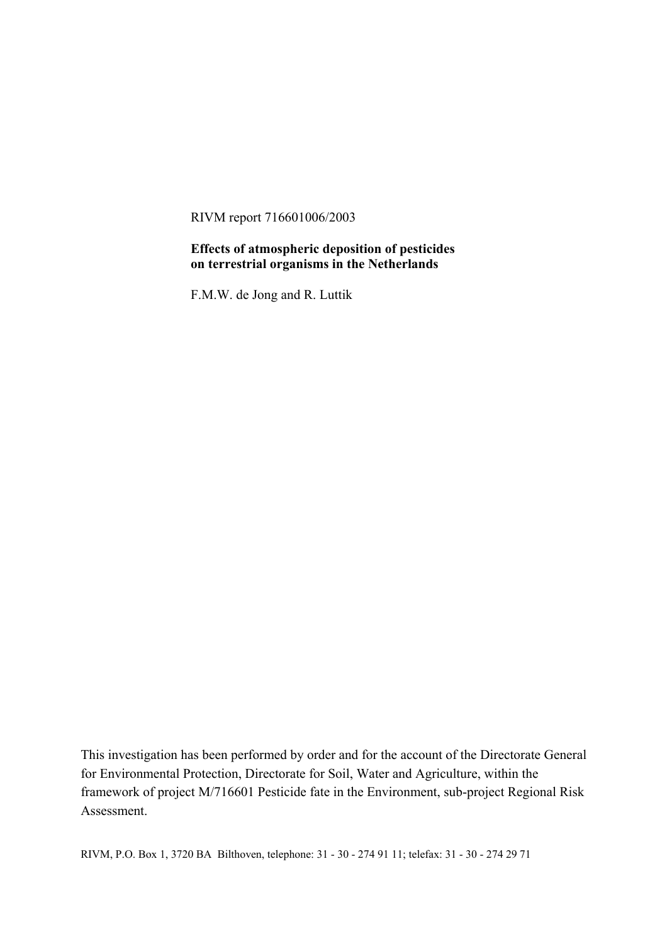RIVM report 716601006/2003

#### **Effects of atmospheric deposition of pesticides on terrestrial organisms in the Netherlands**

F.M.W. de Jong and R. Luttik

This investigation has been performed by order and for the account of the Directorate General for Environmental Protection, Directorate for Soil, Water and Agriculture, within the framework of project M/716601 Pesticide fate in the Environment, sub-project Regional Risk Assessment.

RIVM, P.O. Box 1, 3720 BA Bilthoven, telephone: 31 - 30 - 274 91 11; telefax: 31 - 30 - 274 29 71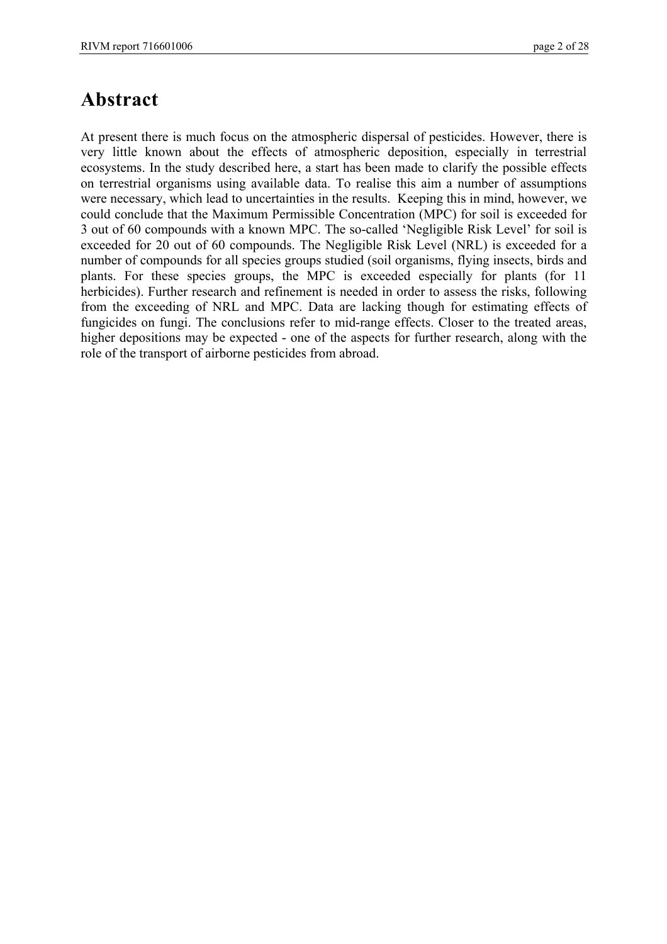### **Abstract**

At present there is much focus on the atmospheric dispersal of pesticides. However, there is very little known about the effects of atmospheric deposition, especially in terrestrial ecosystems. In the study described here, a start has been made to clarify the possible effects on terrestrial organisms using available data. To realise this aim a number of assumptions were necessary, which lead to uncertainties in the results. Keeping this in mind, however, we could conclude that the Maximum Permissible Concentration (MPC) for soil is exceeded for 3 out of 60 compounds with a known MPC. The so-called 'Negligible Risk Level' for soil is exceeded for 20 out of 60 compounds. The Negligible Risk Level (NRL) is exceeded for a number of compounds for all species groups studied (soil organisms, flying insects, birds and plants. For these species groups, the MPC is exceeded especially for plants (for 11 herbicides). Further research and refinement is needed in order to assess the risks, following from the exceeding of NRL and MPC. Data are lacking though for estimating effects of fungicides on fungi. The conclusions refer to mid-range effects. Closer to the treated areas, higher depositions may be expected - one of the aspects for further research, along with the role of the transport of airborne pesticides from abroad.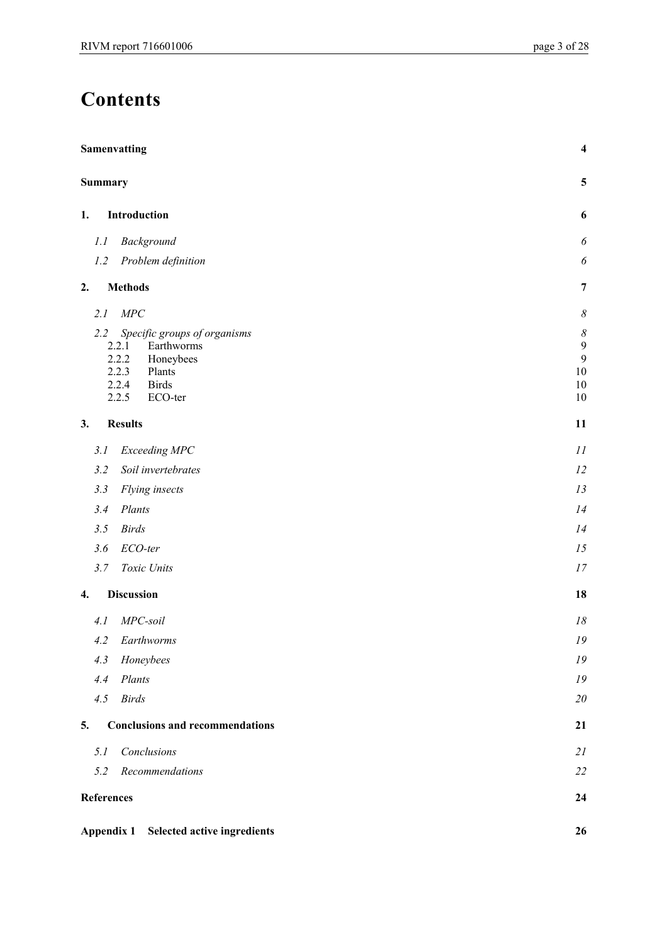# **Contents**

|                   | <b>Samenvatting</b>                    |                          |
|-------------------|----------------------------------------|--------------------------|
| Summary           |                                        | $\overline{\mathbf{5}}$  |
| 1.                | Introduction                           | 6                        |
| 1.1               | Background                             | $\boldsymbol{\delta}$    |
| 1.2               | Problem definition                     | $\boldsymbol{\delta}$    |
| 2.                | <b>Methods</b>                         | $\overline{7}$           |
| 2.1               | MPC                                    | $\boldsymbol{\delta}$    |
| 2.2               | Specific groups of organisms           | $\boldsymbol{\delta}$    |
|                   | Earthworms<br>2.2.1                    | $\overline{9}$           |
|                   | 2.2.2<br>Honeybees<br>2.2.3<br>Plants  | $\mathfrak{g}$<br>$10\,$ |
|                   | 2.2.4<br><b>Birds</b>                  | 10                       |
|                   | 2.2.5<br>ECO-ter                       | 10                       |
| 3.                | <b>Results</b>                         | 11                       |
| 3.1               | Exceeding MPC                          | 11                       |
| 3.2               | Soil invertebrates                     | 12                       |
| 3.3               | Flying insects                         | 13                       |
| 3.4               | Plants                                 | 14                       |
| 3.5               | <b>Birds</b>                           | 14                       |
| 3.6               | ECO-ter                                | 15                       |
| 3.7               | Toxic Units                            | 17                       |
| 4.                | <b>Discussion</b>                      | 18                       |
| 4.1               | MPC-soil                               | $18$                     |
| 4.2               | Earthworms                             | 19                       |
| 4.3               | Honeybees                              | ${\it 19}$               |
| 4.4               | Plants                                 | 19                       |
| 4.5               | <b>Birds</b>                           | $20\,$                   |
| 5.                | <b>Conclusions and recommendations</b> | 21                       |
| 5.1               | Conclusions                            | 21                       |
| 5.2               | Recommendations                        | $22\,$                   |
| <b>References</b> |                                        | 24                       |
|                   | Appendix 1 Selected active ingredients | 26                       |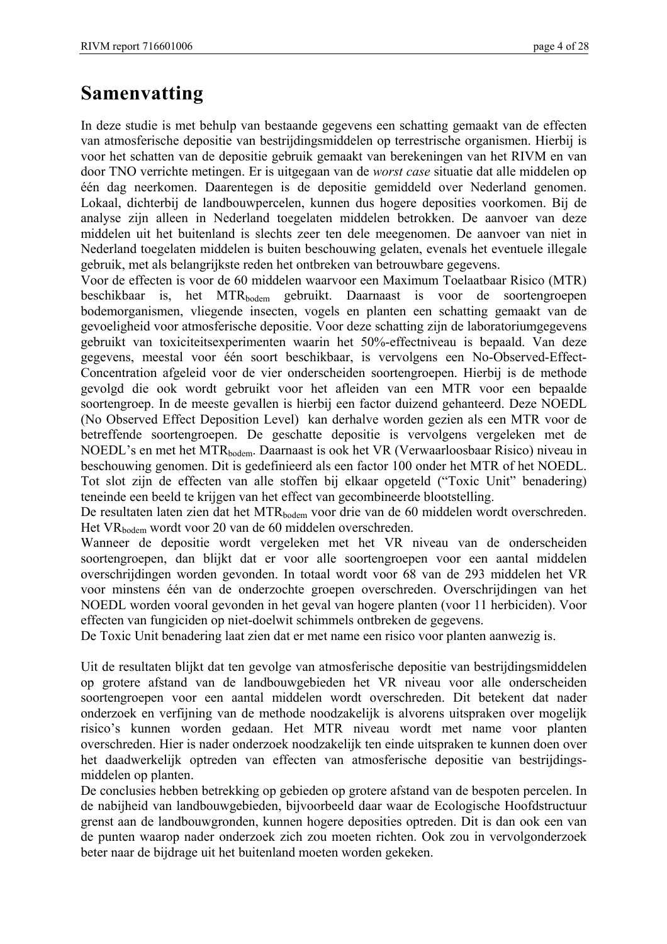# **Samenvatting**

In deze studie is met behulp van bestaande gegevens een schatting gemaakt van de effecten van atmosferische depositie van bestrijdingsmiddelen op terrestrische organismen. Hierbij is voor het schatten van de depositie gebruik gemaakt van berekeningen van het RIVM en van door TNO verrichte metingen. Er is uitgegaan van de *worst case* situatie dat alle middelen op één dag neerkomen. Daarentegen is de depositie gemiddeld over Nederland genomen. Lokaal, dichterbij de landbouwpercelen, kunnen dus hogere deposities voorkomen. Bij de analyse zijn alleen in Nederland toegelaten middelen betrokken. De aanvoer van deze middelen uit het buitenland is slechts zeer ten dele meegenomen. De aanvoer van niet in Nederland toegelaten middelen is buiten beschouwing gelaten, evenals het eventuele illegale gebruik, met als belangrijkste reden het ontbreken van betrouwbare gegevens.

Voor de effecten is voor de 60 middelen waarvoor een Maximum Toelaatbaar Risico (MTR) beschikbaar is, het MTR<sub>bodem</sub> gebruikt. Daarnaast is voor de soortengroepen bodemorganismen, vliegende insecten, vogels en planten een schatting gemaakt van de gevoeligheid voor atmosferische depositie. Voor deze schatting zijn de laboratoriumgegevens gebruikt van toxiciteitsexperimenten waarin het 50%-effectniveau is bepaald. Van deze gegevens, meestal voor één soort beschikbaar, is vervolgens een No-Observed-Effect-Concentration afgeleid voor de vier onderscheiden soortengroepen. Hierbij is de methode gevolgd die ook wordt gebruikt voor het afleiden van een MTR voor een bepaalde soortengroep. In de meeste gevallen is hierbij een factor duizend gehanteerd. Deze NOEDL (No Observed Effect Deposition Level) kan derhalve worden gezien als een MTR voor de betreffende soortengroepen. De geschatte depositie is vervolgens vergeleken met de NOEDL's en met het MTRbodem. Daarnaast is ook het VR (Verwaarloosbaar Risico) niveau in beschouwing genomen. Dit is gedefinieerd als een factor 100 onder het MTR of het NOEDL. Tot slot zijn de effecten van alle stoffen bij elkaar opgeteld ("Toxic Unit" benadering) teneinde een beeld te krijgen van het effect van gecombineerde blootstelling.

De resultaten laten zien dat het MTR<sub>bodem</sub> voor drie van de 60 middelen wordt overschreden. Het VRbodem wordt voor 20 van de 60 middelen overschreden.

Wanneer de depositie wordt vergeleken met het VR niveau van de onderscheiden soortengroepen, dan blijkt dat er voor alle soortengroepen voor een aantal middelen overschrijdingen worden gevonden. In totaal wordt voor 68 van de 293 middelen het VR voor minstens één van de onderzochte groepen overschreden. Overschrijdingen van het NOEDL worden vooral gevonden in het geval van hogere planten (voor 11 herbiciden). Voor effecten van fungiciden op niet-doelwit schimmels ontbreken de gegevens.

De Toxic Unit benadering laat zien dat er met name een risico voor planten aanwezig is.

Uit de resultaten blijkt dat ten gevolge van atmosferische depositie van bestrijdingsmiddelen op grotere afstand van de landbouwgebieden het VR niveau voor alle onderscheiden soortengroepen voor een aantal middelen wordt overschreden. Dit betekent dat nader onderzoek en verfijning van de methode noodzakelijk is alvorens uitspraken over mogelijk risico's kunnen worden gedaan. Het MTR niveau wordt met name voor planten overschreden. Hier is nader onderzoek noodzakelijk ten einde uitspraken te kunnen doen over het daadwerkelijk optreden van effecten van atmosferische depositie van bestrijdingsmiddelen op planten.

De conclusies hebben betrekking op gebieden op grotere afstand van de bespoten percelen. In de nabijheid van landbouwgebieden, bijvoorbeeld daar waar de Ecologische Hoofdstructuur grenst aan de landbouwgronden, kunnen hogere deposities optreden. Dit is dan ook een van de punten waarop nader onderzoek zich zou moeten richten. Ook zou in vervolgonderzoek beter naar de bijdrage uit het buitenland moeten worden gekeken.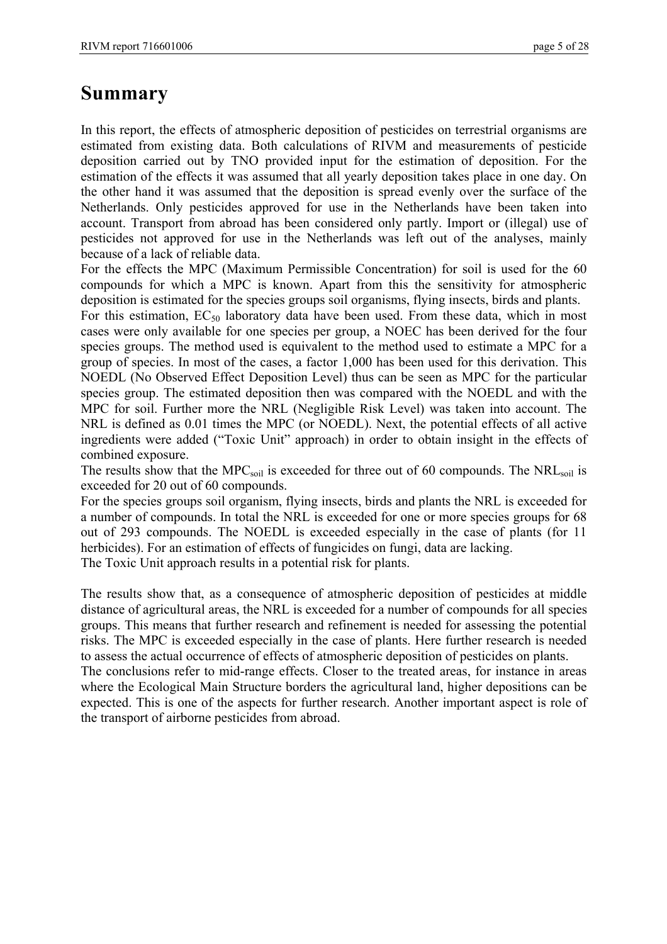# **Summary**

In this report, the effects of atmospheric deposition of pesticides on terrestrial organisms are estimated from existing data. Both calculations of RIVM and measurements of pesticide deposition carried out by TNO provided input for the estimation of deposition. For the estimation of the effects it was assumed that all yearly deposition takes place in one day. On the other hand it was assumed that the deposition is spread evenly over the surface of the Netherlands. Only pesticides approved for use in the Netherlands have been taken into account. Transport from abroad has been considered only partly. Import or (illegal) use of pesticides not approved for use in the Netherlands was left out of the analyses, mainly because of a lack of reliable data.

For the effects the MPC (Maximum Permissible Concentration) for soil is used for the 60 compounds for which a MPC is known. Apart from this the sensitivity for atmospheric deposition is estimated for the species groups soil organisms, flying insects, birds and plants.

For this estimation,  $EC_{50}$  laboratory data have been used. From these data, which in most cases were only available for one species per group, a NOEC has been derived for the four species groups. The method used is equivalent to the method used to estimate a MPC for a group of species. In most of the cases, a factor 1,000 has been used for this derivation. This NOEDL (No Observed Effect Deposition Level) thus can be seen as MPC for the particular species group. The estimated deposition then was compared with the NOEDL and with the MPC for soil. Further more the NRL (Negligible Risk Level) was taken into account. The NRL is defined as 0.01 times the MPC (or NOEDL). Next, the potential effects of all active ingredients were added ("Toxic Unit" approach) in order to obtain insight in the effects of combined exposure.

The results show that the  $MPC_{soil}$  is exceeded for three out of 60 compounds. The  $NRL_{soil}$  is exceeded for 20 out of 60 compounds.

For the species groups soil organism, flying insects, birds and plants the NRL is exceeded for a number of compounds. In total the NRL is exceeded for one or more species groups for 68 out of 293 compounds. The NOEDL is exceeded especially in the case of plants (for 11 herbicides). For an estimation of effects of fungicides on fungi, data are lacking.

The Toxic Unit approach results in a potential risk for plants.

The results show that, as a consequence of atmospheric deposition of pesticides at middle distance of agricultural areas, the NRL is exceeded for a number of compounds for all species groups. This means that further research and refinement is needed for assessing the potential risks. The MPC is exceeded especially in the case of plants. Here further research is needed to assess the actual occurrence of effects of atmospheric deposition of pesticides on plants.

The conclusions refer to mid-range effects. Closer to the treated areas, for instance in areas where the Ecological Main Structure borders the agricultural land, higher depositions can be expected. This is one of the aspects for further research. Another important aspect is role of the transport of airborne pesticides from abroad.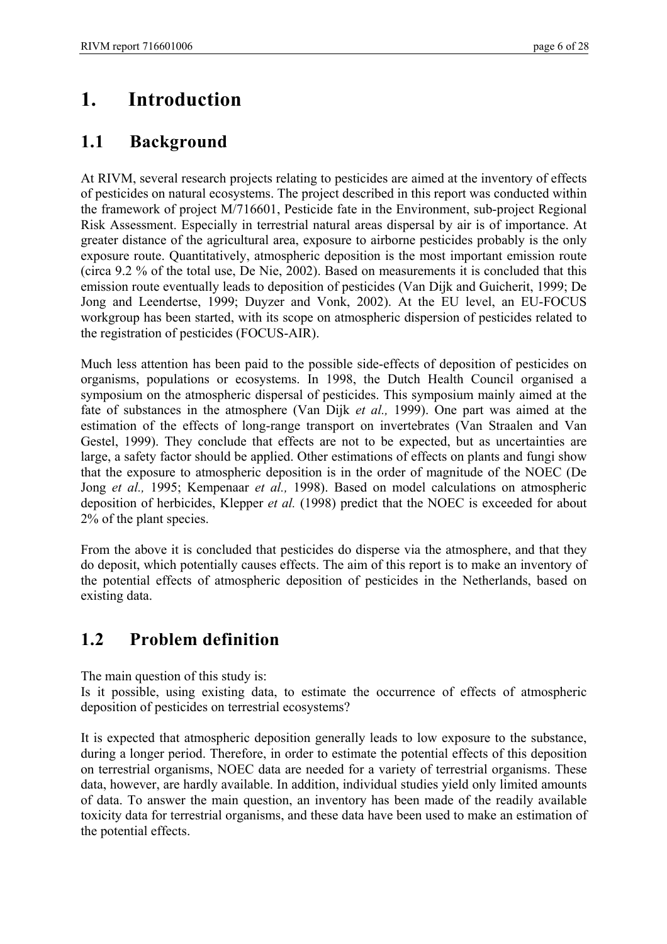# **1. Introduction**

### **1.1 Background**

At RIVM, several research projects relating to pesticides are aimed at the inventory of effects of pesticides on natural ecosystems. The project described in this report was conducted within the framework of project M/716601, Pesticide fate in the Environment, sub-project Regional Risk Assessment. Especially in terrestrial natural areas dispersal by air is of importance. At greater distance of the agricultural area, exposure to airborne pesticides probably is the only exposure route. Quantitatively, atmospheric deposition is the most important emission route (circa 9.2 % of the total use, De Nie, 2002). Based on measurements it is concluded that this emission route eventually leads to deposition of pesticides (Van Dijk and Guicherit, 1999; De Jong and Leendertse, 1999; Duyzer and Vonk, 2002). At the EU level, an EU-FOCUS workgroup has been started, with its scope on atmospheric dispersion of pesticides related to the registration of pesticides (FOCUS-AIR).

Much less attention has been paid to the possible side-effects of deposition of pesticides on organisms, populations or ecosystems. In 1998, the Dutch Health Council organised a symposium on the atmospheric dispersal of pesticides. This symposium mainly aimed at the fate of substances in the atmosphere (Van Dijk *et al.,* 1999). One part was aimed at the estimation of the effects of long-range transport on invertebrates (Van Straalen and Van Gestel, 1999). They conclude that effects are not to be expected, but as uncertainties are large, a safety factor should be applied. Other estimations of effects on plants and fungi show that the exposure to atmospheric deposition is in the order of magnitude of the NOEC (De Jong *et al.,* 1995; Kempenaar *et al.,* 1998). Based on model calculations on atmospheric deposition of herbicides, Klepper *et al.* (1998) predict that the NOEC is exceeded for about 2% of the plant species.

From the above it is concluded that pesticides do disperse via the atmosphere, and that they do deposit, which potentially causes effects. The aim of this report is to make an inventory of the potential effects of atmospheric deposition of pesticides in the Netherlands, based on existing data.

### **1.2 Problem definition**

The main question of this study is:

Is it possible, using existing data, to estimate the occurrence of effects of atmospheric deposition of pesticides on terrestrial ecosystems?

It is expected that atmospheric deposition generally leads to low exposure to the substance, during a longer period. Therefore, in order to estimate the potential effects of this deposition on terrestrial organisms, NOEC data are needed for a variety of terrestrial organisms. These data, however, are hardly available. In addition, individual studies yield only limited amounts of data. To answer the main question, an inventory has been made of the readily available toxicity data for terrestrial organisms, and these data have been used to make an estimation of the potential effects.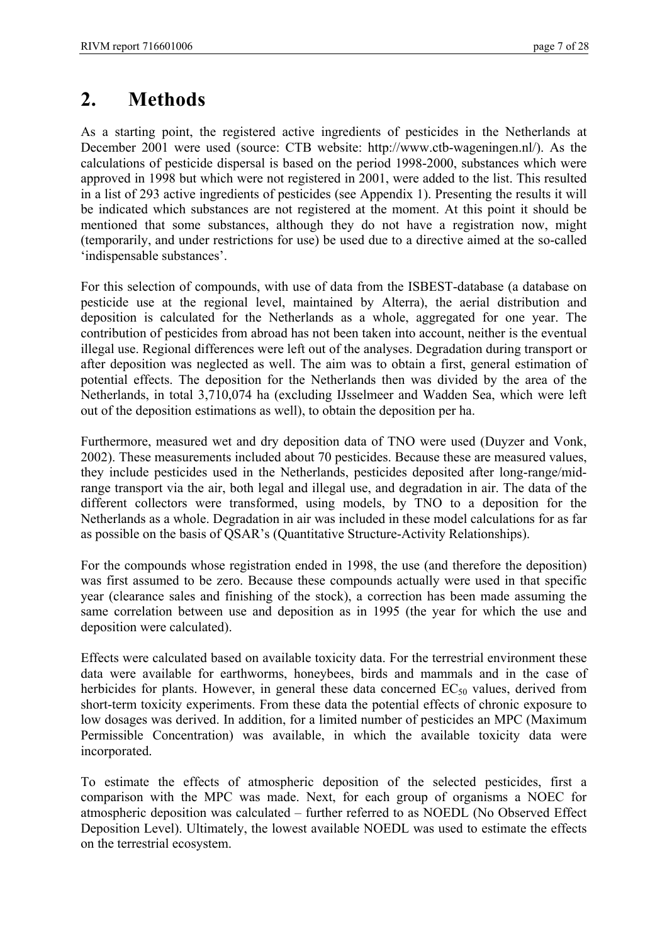## **2. Methods**

As a starting point, the registered active ingredients of pesticides in the Netherlands at December 2001 were used (source: CTB website: http://www.ctb-wageningen.nl/). As the calculations of pesticide dispersal is based on the period 1998-2000, substances which were approved in 1998 but which were not registered in 2001, were added to the list. This resulted in a list of 293 active ingredients of pesticides (see Appendix 1). Presenting the results it will be indicated which substances are not registered at the moment. At this point it should be mentioned that some substances, although they do not have a registration now, might (temporarily, and under restrictions for use) be used due to a directive aimed at the so-called 'indispensable substances'.

For this selection of compounds, with use of data from the ISBEST-database (a database on pesticide use at the regional level, maintained by Alterra), the aerial distribution and deposition is calculated for the Netherlands as a whole, aggregated for one year. The contribution of pesticides from abroad has not been taken into account, neither is the eventual illegal use. Regional differences were left out of the analyses. Degradation during transport or after deposition was neglected as well. The aim was to obtain a first, general estimation of potential effects. The deposition for the Netherlands then was divided by the area of the Netherlands, in total 3,710,074 ha (excluding IJsselmeer and Wadden Sea, which were left out of the deposition estimations as well), to obtain the deposition per ha.

Furthermore, measured wet and dry deposition data of TNO were used (Duyzer and Vonk, 2002). These measurements included about 70 pesticides. Because these are measured values, they include pesticides used in the Netherlands, pesticides deposited after long-range/midrange transport via the air, both legal and illegal use, and degradation in air. The data of the different collectors were transformed, using models, by TNO to a deposition for the Netherlands as a whole. Degradation in air was included in these model calculations for as far as possible on the basis of QSAR's (Quantitative Structure-Activity Relationships).

For the compounds whose registration ended in 1998, the use (and therefore the deposition) was first assumed to be zero. Because these compounds actually were used in that specific year (clearance sales and finishing of the stock), a correction has been made assuming the same correlation between use and deposition as in 1995 (the year for which the use and deposition were calculated).

Effects were calculated based on available toxicity data. For the terrestrial environment these data were available for earthworms, honeybees, birds and mammals and in the case of herbicides for plants. However, in general these data concerned  $EC_{50}$  values, derived from short-term toxicity experiments. From these data the potential effects of chronic exposure to low dosages was derived. In addition, for a limited number of pesticides an MPC (Maximum Permissible Concentration) was available, in which the available toxicity data were incorporated.

To estimate the effects of atmospheric deposition of the selected pesticides, first a comparison with the MPC was made. Next, for each group of organisms a NOEC for atmospheric deposition was calculated – further referred to as NOEDL (No Observed Effect Deposition Level). Ultimately, the lowest available NOEDL was used to estimate the effects on the terrestrial ecosystem.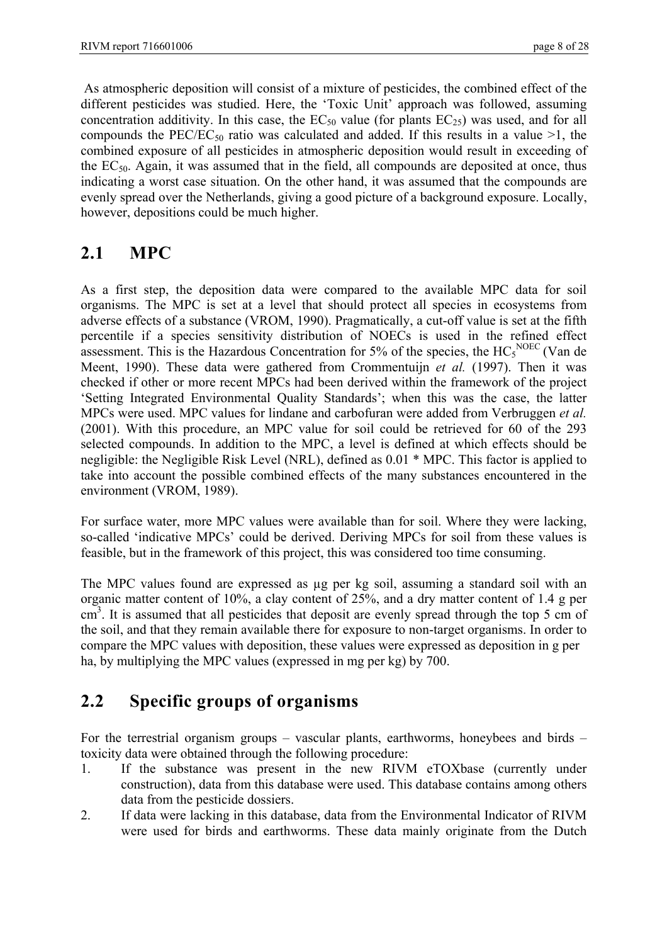As atmospheric deposition will consist of a mixture of pesticides, the combined effect of the different pesticides was studied. Here, the 'Toxic Unit' approach was followed, assuming concentration additivity. In this case, the  $EC_{50}$  value (for plants  $EC_{25}$ ) was used, and for all compounds the PEC/EC<sub>50</sub> ratio was calculated and added. If this results in a value  $>1$ , the combined exposure of all pesticides in atmospheric deposition would result in exceeding of the  $EC_{50}$ . Again, it was assumed that in the field, all compounds are deposited at once, thus indicating a worst case situation. On the other hand, it was assumed that the compounds are evenly spread over the Netherlands, giving a good picture of a background exposure. Locally, however, depositions could be much higher.

### **2.1 MPC**

As a first step, the deposition data were compared to the available MPC data for soil organisms. The MPC is set at a level that should protect all species in ecosystems from adverse effects of a substance (VROM, 1990). Pragmatically, a cut-off value is set at the fifth percentile if a species sensitivity distribution of NOECs is used in the refined effect assessment. This is the Hazardous Concentration for 5% of the species, the  $HC<sub>5</sub><sup>NOEC</sup>$  (Van de Meent, 1990). These data were gathered from Crommentuijn *et al.* (1997). Then it was checked if other or more recent MPCs had been derived within the framework of the project 'Setting Integrated Environmental Quality Standards'; when this was the case, the latter MPCs were used. MPC values for lindane and carbofuran were added from Verbruggen *et al.* (2001). With this procedure, an MPC value for soil could be retrieved for 60 of the 293 selected compounds. In addition to the MPC, a level is defined at which effects should be negligible: the Negligible Risk Level (NRL), defined as 0.01 \* MPC. This factor is applied to take into account the possible combined effects of the many substances encountered in the environment (VROM, 1989).

For surface water, more MPC values were available than for soil. Where they were lacking, so-called 'indicative MPCs' could be derived. Deriving MPCs for soil from these values is feasible, but in the framework of this project, this was considered too time consuming.

The MPC values found are expressed as µg per kg soil, assuming a standard soil with an organic matter content of 10%, a clay content of 25%, and a dry matter content of 1.4 g per  $\text{cm}^3$ . It is assumed that all pesticides that deposit are evenly spread through the top 5 cm of the soil, and that they remain available there for exposure to non-target organisms. In order to compare the MPC values with deposition, these values were expressed as deposition in g per ha, by multiplying the MPC values (expressed in mg per kg) by 700.

## **2.2 Specific groups of organisms**

For the terrestrial organism groups – vascular plants, earthworms, honeybees and birds – toxicity data were obtained through the following procedure:

- 1. If the substance was present in the new RIVM eTOXbase (currently under construction), data from this database were used. This database contains among others data from the pesticide dossiers.
- 2. If data were lacking in this database, data from the Environmental Indicator of RIVM were used for birds and earthworms. These data mainly originate from the Dutch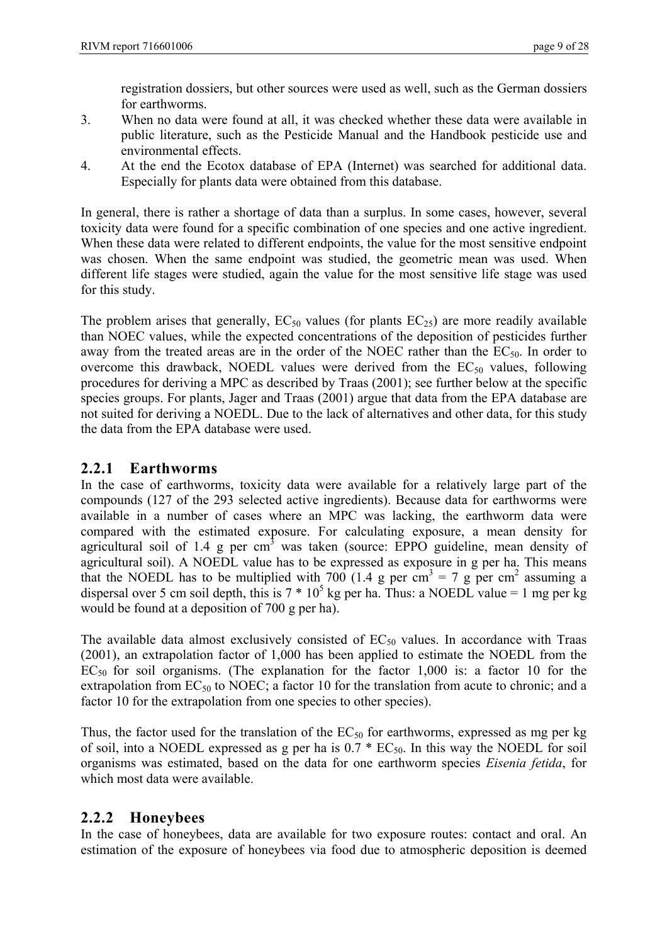registration dossiers, but other sources were used as well, such as the German dossiers for earthworms.

- 3. When no data were found at all, it was checked whether these data were available in public literature, such as the Pesticide Manual and the Handbook pesticide use and environmental effects.
- 4. At the end the Ecotox database of EPA (Internet) was searched for additional data. Especially for plants data were obtained from this database.

In general, there is rather a shortage of data than a surplus. In some cases, however, several toxicity data were found for a specific combination of one species and one active ingredient. When these data were related to different endpoints, the value for the most sensitive endpoint was chosen. When the same endpoint was studied, the geometric mean was used. When different life stages were studied, again the value for the most sensitive life stage was used for this study.

The problem arises that generally,  $EC_{50}$  values (for plants  $EC_{25}$ ) are more readily available than NOEC values, while the expected concentrations of the deposition of pesticides further away from the treated areas are in the order of the NOEC rather than the  $EC_{50}$ . In order to overcome this drawback, NOEDL values were derived from the  $EC_{50}$  values, following procedures for deriving a MPC as described by Traas (2001); see further below at the specific species groups. For plants, Jager and Traas (2001) argue that data from the EPA database are not suited for deriving a NOEDL. Due to the lack of alternatives and other data, for this study the data from the EPA database were used.

#### **2.2.1 Earthworms**

In the case of earthworms, toxicity data were available for a relatively large part of the compounds (127 of the 293 selected active ingredients). Because data for earthworms were available in a number of cases where an MPC was lacking, the earthworm data were compared with the estimated exposure. For calculating exposure, a mean density for agricultural soil of 1.4 g per cm<sup>3</sup> was taken (source: EPPO guideline, mean density of agricultural soil). A NOEDL value has to be expressed as exposure in g per ha. This means that the NOEDL has to be multiplied with 700 (1.4 g per cm<sup>3</sup> = 7 g per cm<sup>2</sup> assuming a dispersal over 5 cm soil depth, this is  $7 * 10^5$  kg per ha. Thus: a NOEDL value = 1 mg per kg would be found at a deposition of 700 g per ha).

The available data almost exclusively consisted of  $EC_{50}$  values. In accordance with Traas (2001), an extrapolation factor of 1,000 has been applied to estimate the NOEDL from the  $EC_{50}$  for soil organisms. (The explanation for the factor 1,000 is: a factor 10 for the extrapolation from  $EC_{50}$  to NOEC; a factor 10 for the translation from acute to chronic; and a factor 10 for the extrapolation from one species to other species).

Thus, the factor used for the translation of the  $EC_{50}$  for earthworms, expressed as mg per kg of soil, into a NOEDL expressed as g per ha is  $0.7 * EC<sub>50</sub>$ . In this way the NOEDL for soil organisms was estimated, based on the data for one earthworm species *Eisenia fetida*, for which most data were available.

#### **2.2.2 Honeybees**

In the case of honeybees, data are available for two exposure routes: contact and oral. An estimation of the exposure of honeybees via food due to atmospheric deposition is deemed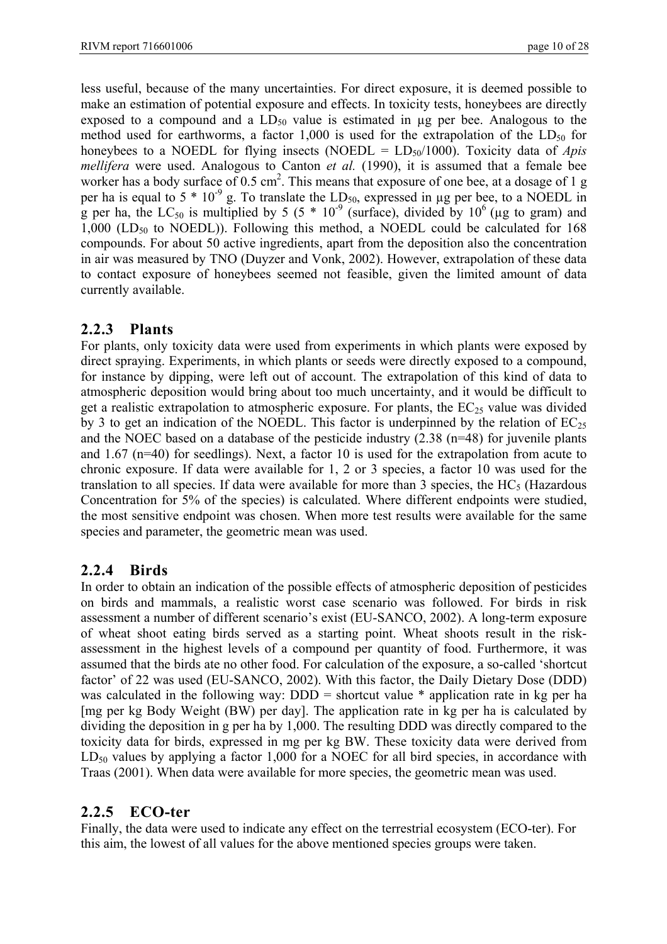less useful, because of the many uncertainties. For direct exposure, it is deemed possible to make an estimation of potential exposure and effects. In toxicity tests, honeybees are directly exposed to a compound and a  $LD_{50}$  value is estimated in  $\mu$ g per bee. Analogous to the method used for earthworms, a factor 1,000 is used for the extrapolation of the  $LD_{50}$  for honeybees to a NOEDL for flying insects (NOEDL =  $LD_{50}/1000$ ). Toxicity data of *Apis mellifera* were used. Analogous to Canton *et al.* (1990), it is assumed that a female bee worker has a body surface of 0.5 cm<sup>2</sup>. This means that exposure of one bee, at a dosage of 1 g per ha is equal to  $5 * 10^{-9}$  g. To translate the  $LD_{50}$ , expressed in µg per bee, to a NOEDL in g per ha, the  $LC_{50}$  is multiplied by 5 (5  $*$  10<sup>-9</sup> (surface), divided by 10<sup>6</sup> (µg to gram) and  $1,000$  (LD<sub>50</sub> to NOEDL)). Following this method, a NOEDL could be calculated for 168 compounds. For about 50 active ingredients, apart from the deposition also the concentration in air was measured by TNO (Duyzer and Vonk, 2002). However, extrapolation of these data to contact exposure of honeybees seemed not feasible, given the limited amount of data currently available.

#### **2.2.3 Plants**

For plants, only toxicity data were used from experiments in which plants were exposed by direct spraying. Experiments, in which plants or seeds were directly exposed to a compound, for instance by dipping, were left out of account. The extrapolation of this kind of data to atmospheric deposition would bring about too much uncertainty, and it would be difficult to get a realistic extrapolation to atmospheric exposure. For plants, the  $EC_{25}$  value was divided by 3 to get an indication of the NOEDL. This factor is underpinned by the relation of  $EC_{25}$ and the NOEC based on a database of the pesticide industry (2.38 (n=48) for juvenile plants and 1.67 (n=40) for seedlings). Next, a factor 10 is used for the extrapolation from acute to chronic exposure. If data were available for 1, 2 or 3 species, a factor 10 was used for the translation to all species. If data were available for more than 3 species, the  $HC<sub>5</sub>$  (Hazardous Concentration for 5% of the species) is calculated. Where different endpoints were studied, the most sensitive endpoint was chosen. When more test results were available for the same species and parameter, the geometric mean was used.

#### **2.2.4 Birds**

In order to obtain an indication of the possible effects of atmospheric deposition of pesticides on birds and mammals, a realistic worst case scenario was followed. For birds in risk assessment a number of different scenario's exist (EU-SANCO, 2002). A long-term exposure of wheat shoot eating birds served as a starting point. Wheat shoots result in the riskassessment in the highest levels of a compound per quantity of food. Furthermore, it was assumed that the birds ate no other food. For calculation of the exposure, a so-called 'shortcut factor' of 22 was used (EU-SANCO, 2002). With this factor, the Daily Dietary Dose (DDD) was calculated in the following way: DDD = shortcut value \* application rate in kg per ha [mg per kg Body Weight (BW) per day]. The application rate in kg per ha is calculated by dividing the deposition in g per ha by 1,000. The resulting DDD was directly compared to the toxicity data for birds, expressed in mg per kg BW. These toxicity data were derived from  $LD_{50}$  values by applying a factor 1,000 for a NOEC for all bird species, in accordance with Traas (2001). When data were available for more species, the geometric mean was used.

#### **2.2.5 ECO-ter**

Finally, the data were used to indicate any effect on the terrestrial ecosystem (ECO-ter). For this aim, the lowest of all values for the above mentioned species groups were taken.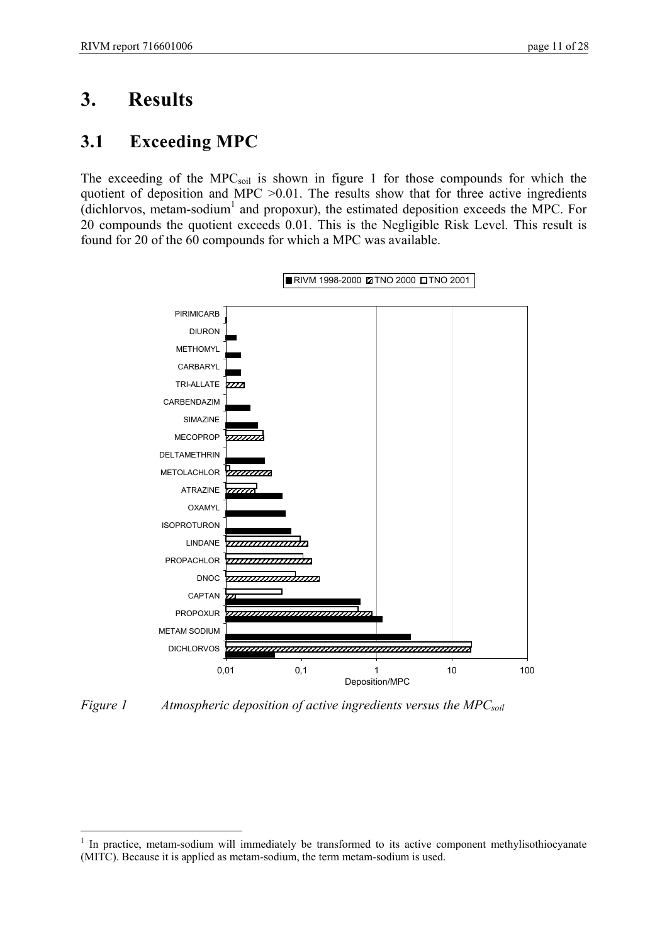## **3. Results**

 $\overline{a}$ 

### **3.1 Exceeding MPC**

The exceeding of the MPC<sub>soil</sub> is shown in figure 1 for those compounds for which the quotient of deposition and MPC >0.01. The results show that for three active ingredients  $(dichlorvos, metam-sodium<sup>1</sup>$  and propoxur), the estimated deposition exceeds the MPC. For 20 compounds the quotient exceeds 0.01. This is the Negligible Risk Level. This result is found for 20 of the 60 compounds for which a MPC was available.



*Figure 1* Atmospheric deposition of active ingredients versus the MPC<sub>soil</sub>

<sup>1</sup> In practice, metam-sodium will immediately be transformed to its active component methylisothiocyanate (MITC). Because it is applied as metam-sodium, the term metam-sodium is used.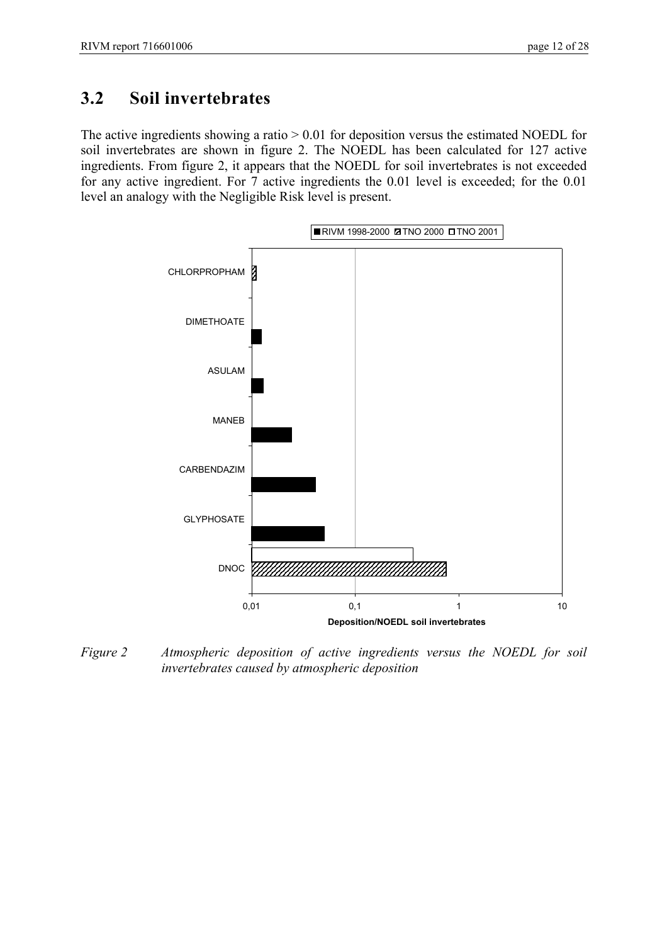### **3.2 Soil invertebrates**

The active ingredients showing a ratio  $> 0.01$  for deposition versus the estimated NOEDL for soil invertebrates are shown in figure 2. The NOEDL has been calculated for 127 active ingredients. From figure 2, it appears that the NOEDL for soil invertebrates is not exceeded for any active ingredient. For 7 active ingredients the 0.01 level is exceeded; for the 0.01 level an analogy with the Negligible Risk level is present.



*Figure 2 Atmospheric deposition of active ingredients versus the NOEDL for soil invertebrates caused by atmospheric deposition*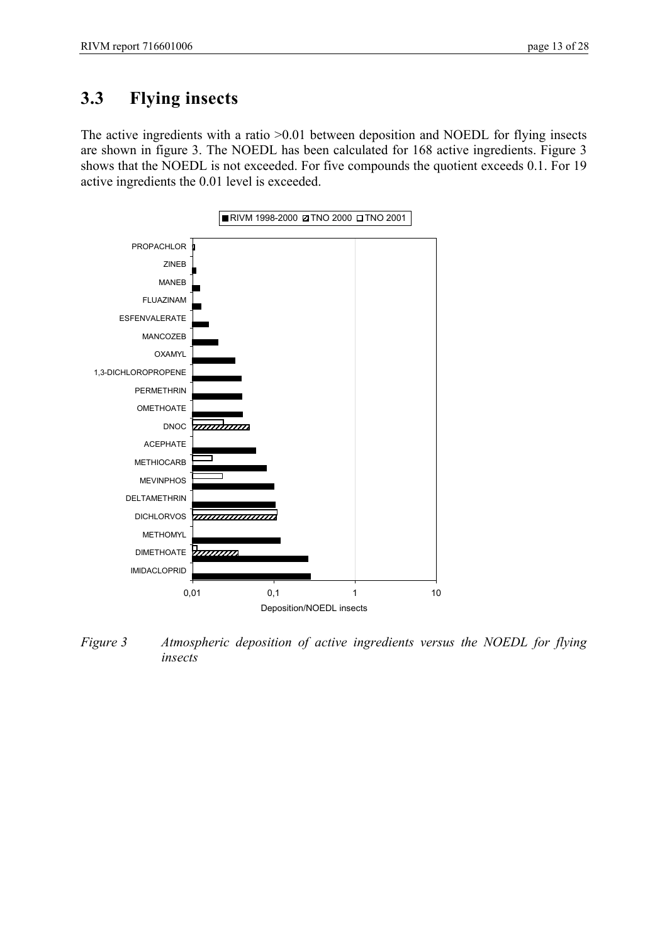## **3.3 Flying insects**

The active ingredients with a ratio >0.01 between deposition and NOEDL for flying insects are shown in figure 3. The NOEDL has been calculated for 168 active ingredients. Figure 3 shows that the NOEDL is not exceeded. For five compounds the quotient exceeds 0.1. For 19 active ingredients the 0.01 level is exceeded.



*Figure 3 Atmospheric deposition of active ingredients versus the NOEDL for flying insects*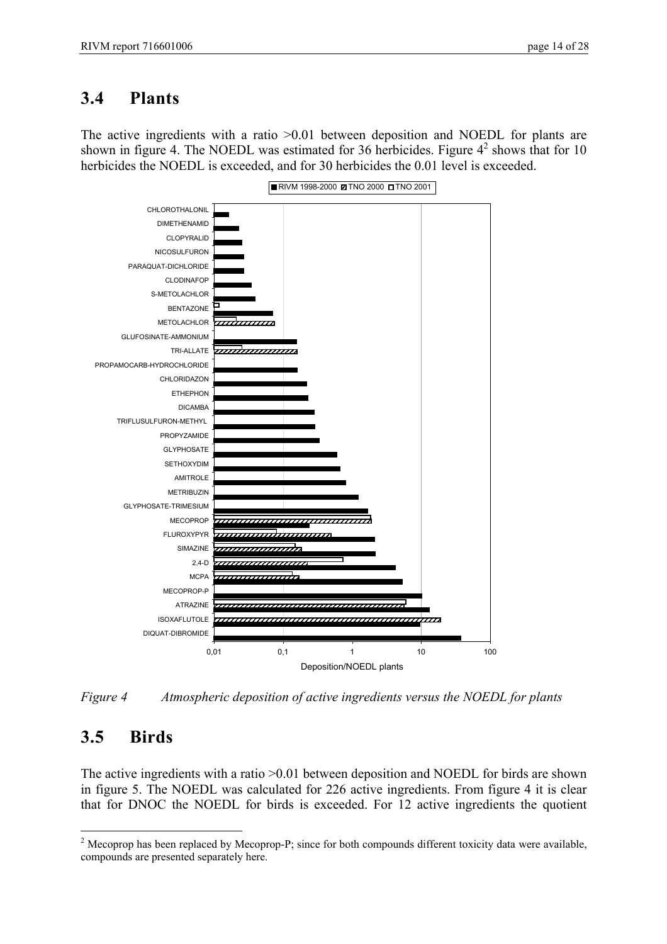### **3.4 Plants**

The active ingredients with a ratio >0.01 between deposition and NOEDL for plants are shown in figure 4. The NOEDL was estimated for 36 herbicides. Figure  $4^2$  shows that for 10 herbicides the NOEDL is exceeded, and for 30 herbicides the 0.01 level is exceeded.



*Figure 4 Atmospheric deposition of active ingredients versus the NOEDL for plants*

## **3.5 Birds**

 $\overline{a}$ 

The active ingredients with a ratio >0.01 between deposition and NOEDL for birds are shown in figure 5. The NOEDL was calculated for 226 active ingredients. From figure 4 it is clear that for DNOC the NOEDL for birds is exceeded. For 12 active ingredients the quotient

<sup>&</sup>lt;sup>2</sup> Mecoprop has been replaced by Mecoprop-P; since for both compounds different toxicity data were available, compounds are presented separately here.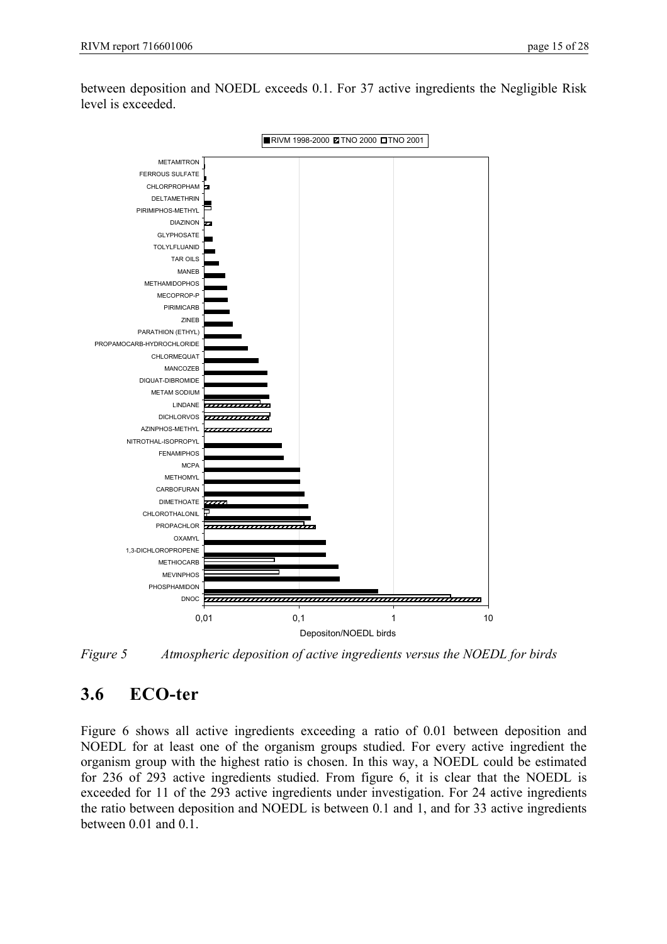



*Figure 5 Atmospheric deposition of active ingredients versus the NOEDL for birds*

### **3.6 ECO-ter**

Figure 6 shows all active ingredients exceeding a ratio of 0.01 between deposition and NOEDL for at least one of the organism groups studied. For every active ingredient the organism group with the highest ratio is chosen. In this way, a NOEDL could be estimated for 236 of 293 active ingredients studied. From figure 6, it is clear that the NOEDL is exceeded for 11 of the 293 active ingredients under investigation. For 24 active ingredients the ratio between deposition and NOEDL is between 0.1 and 1, and for 33 active ingredients between 0.01 and 0.1.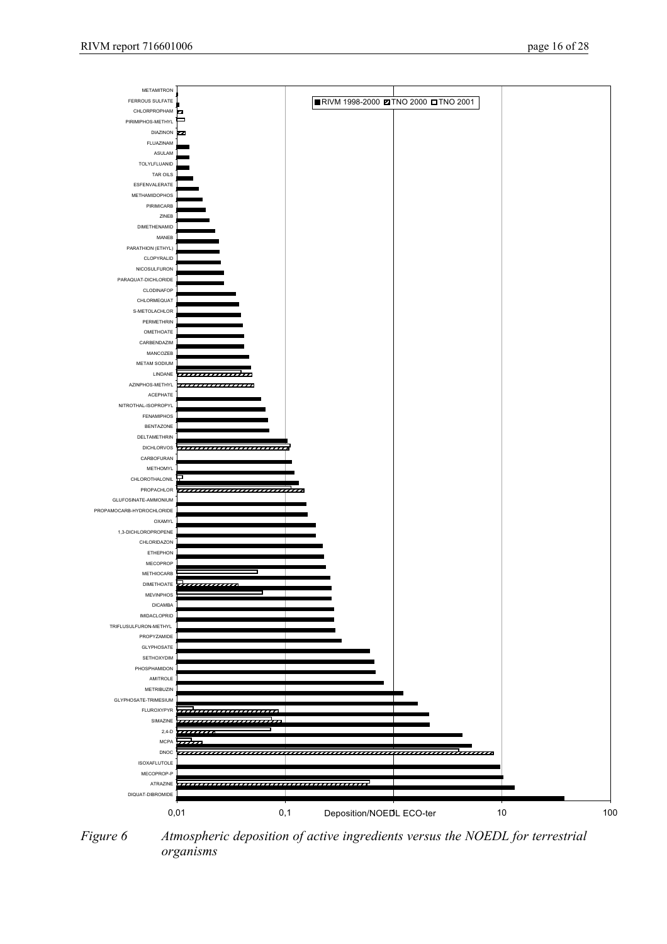

*Figure 6 Atmospheric deposition of active ingredients versus the NOEDL for terrestrial organisms*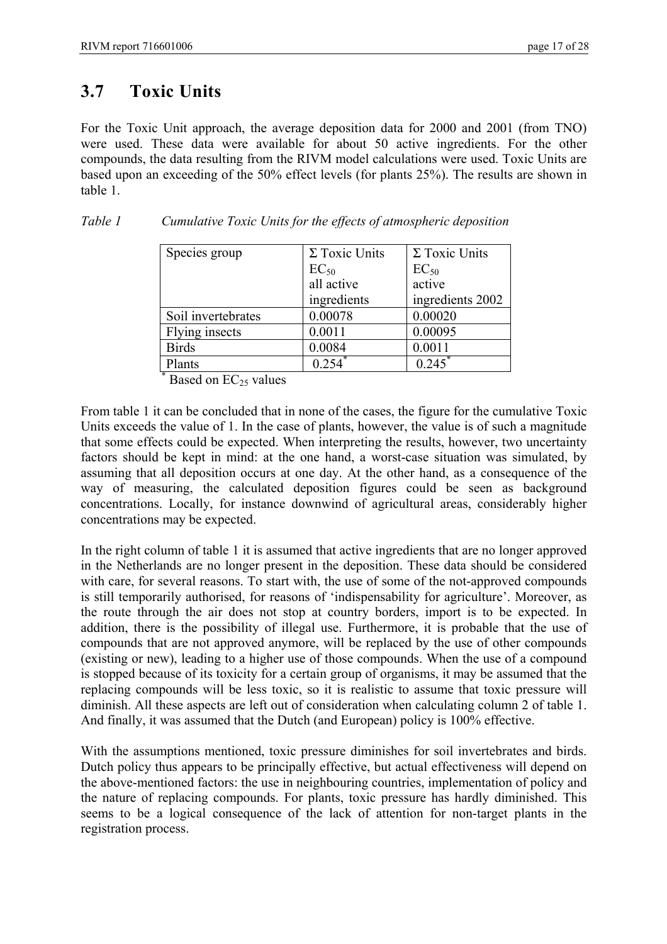### **3.7 Toxic Units**

For the Toxic Unit approach, the average deposition data for 2000 and 2001 (from TNO) were used. These data were available for about 50 active ingredients. For the other compounds, the data resulting from the RIVM model calculations were used. Toxic Units are based upon an exceeding of the 50% effect levels (for plants 25%). The results are shown in table 1.

| Species group      | $\Sigma$ Toxic Units | $\Sigma$ Toxic Units |
|--------------------|----------------------|----------------------|
|                    | $EC_{50}$            | $EC_{50}$            |
|                    | all active           | active               |
|                    | ingredients          | ingredients 2002     |
| Soil invertebrates | 0.00078              | 0.00020              |
| Flying insects     | 0.0011               | 0.00095              |
| <b>Birds</b>       | 0.0084               | 0.0011               |
| Plants             | 0.254                | 0.245                |

*Table 1 Cumulative Toxic Units for the effects of atmospheric deposition*

Based on  $EC_{25}$  values

From table 1 it can be concluded that in none of the cases, the figure for the cumulative Toxic Units exceeds the value of 1. In the case of plants, however, the value is of such a magnitude that some effects could be expected. When interpreting the results, however, two uncertainty factors should be kept in mind: at the one hand, a worst-case situation was simulated, by assuming that all deposition occurs at one day. At the other hand, as a consequence of the way of measuring, the calculated deposition figures could be seen as background concentrations. Locally, for instance downwind of agricultural areas, considerably higher concentrations may be expected.

In the right column of table 1 it is assumed that active ingredients that are no longer approved in the Netherlands are no longer present in the deposition. These data should be considered with care, for several reasons. To start with, the use of some of the not-approved compounds is still temporarily authorised, for reasons of 'indispensability for agriculture'. Moreover, as the route through the air does not stop at country borders, import is to be expected. In addition, there is the possibility of illegal use. Furthermore, it is probable that the use of compounds that are not approved anymore, will be replaced by the use of other compounds (existing or new), leading to a higher use of those compounds. When the use of a compound is stopped because of its toxicity for a certain group of organisms, it may be assumed that the replacing compounds will be less toxic, so it is realistic to assume that toxic pressure will diminish. All these aspects are left out of consideration when calculating column 2 of table 1. And finally, it was assumed that the Dutch (and European) policy is 100% effective.

With the assumptions mentioned, toxic pressure diminishes for soil invertebrates and birds. Dutch policy thus appears to be principally effective, but actual effectiveness will depend on the above-mentioned factors: the use in neighbouring countries, implementation of policy and the nature of replacing compounds. For plants, toxic pressure has hardly diminished. This seems to be a logical consequence of the lack of attention for non-target plants in the registration process.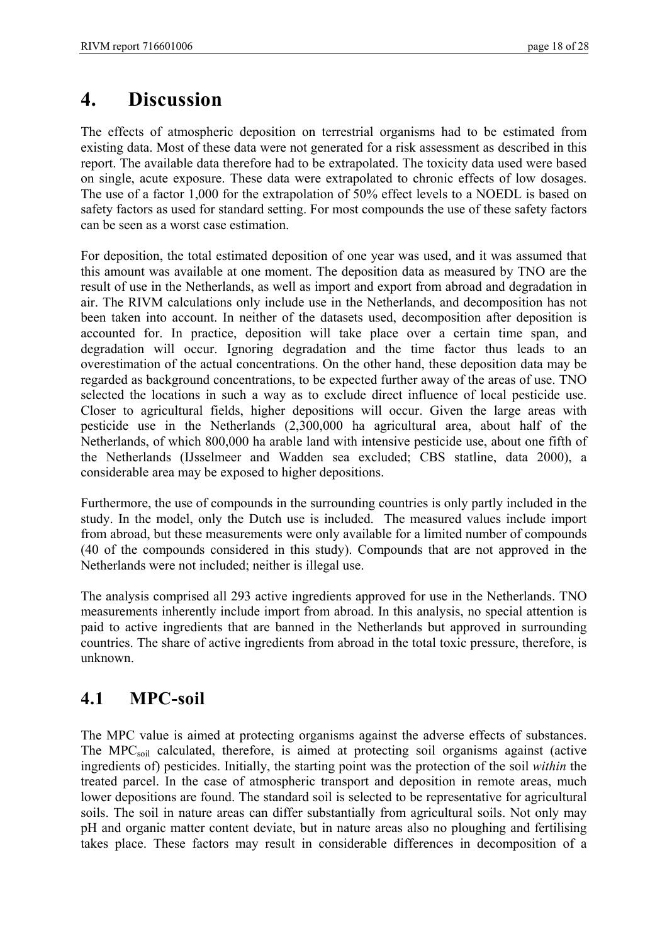# **4. Discussion**

The effects of atmospheric deposition on terrestrial organisms had to be estimated from existing data. Most of these data were not generated for a risk assessment as described in this report. The available data therefore had to be extrapolated. The toxicity data used were based on single, acute exposure. These data were extrapolated to chronic effects of low dosages. The use of a factor 1,000 for the extrapolation of 50% effect levels to a NOEDL is based on safety factors as used for standard setting. For most compounds the use of these safety factors can be seen as a worst case estimation.

For deposition, the total estimated deposition of one year was used, and it was assumed that this amount was available at one moment. The deposition data as measured by TNO are the result of use in the Netherlands, as well as import and export from abroad and degradation in air. The RIVM calculations only include use in the Netherlands, and decomposition has not been taken into account. In neither of the datasets used, decomposition after deposition is accounted for. In practice, deposition will take place over a certain time span, and degradation will occur. Ignoring degradation and the time factor thus leads to an overestimation of the actual concentrations. On the other hand, these deposition data may be regarded as background concentrations, to be expected further away of the areas of use. TNO selected the locations in such a way as to exclude direct influence of local pesticide use. Closer to agricultural fields, higher depositions will occur. Given the large areas with pesticide use in the Netherlands (2,300,000 ha agricultural area, about half of the Netherlands, of which 800,000 ha arable land with intensive pesticide use, about one fifth of the Netherlands (IJsselmeer and Wadden sea excluded; CBS statline, data 2000), a considerable area may be exposed to higher depositions.

Furthermore, the use of compounds in the surrounding countries is only partly included in the study. In the model, only the Dutch use is included. The measured values include import from abroad, but these measurements were only available for a limited number of compounds (40 of the compounds considered in this study). Compounds that are not approved in the Netherlands were not included; neither is illegal use.

The analysis comprised all 293 active ingredients approved for use in the Netherlands. TNO measurements inherently include import from abroad. In this analysis, no special attention is paid to active ingredients that are banned in the Netherlands but approved in surrounding countries. The share of active ingredients from abroad in the total toxic pressure, therefore, is unknown.

## **4.1 MPC-soil**

The MPC value is aimed at protecting organisms against the adverse effects of substances. The MPC<sub>soil</sub> calculated, therefore, is aimed at protecting soil organisms against (active ingredients of) pesticides. Initially, the starting point was the protection of the soil *within* the treated parcel. In the case of atmospheric transport and deposition in remote areas, much lower depositions are found. The standard soil is selected to be representative for agricultural soils. The soil in nature areas can differ substantially from agricultural soils. Not only may pH and organic matter content deviate, but in nature areas also no ploughing and fertilising takes place. These factors may result in considerable differences in decomposition of a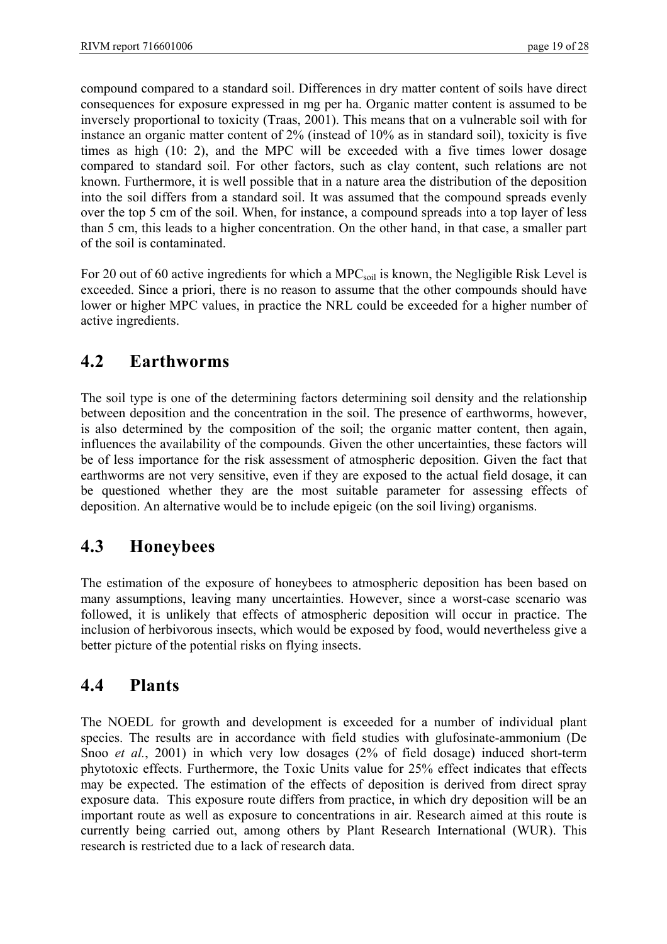compound compared to a standard soil. Differences in dry matter content of soils have direct consequences for exposure expressed in mg per ha. Organic matter content is assumed to be inversely proportional to toxicity (Traas, 2001). This means that on a vulnerable soil with for instance an organic matter content of 2% (instead of 10% as in standard soil), toxicity is five times as high (10: 2), and the MPC will be exceeded with a five times lower dosage compared to standard soil. For other factors, such as clay content, such relations are not known. Furthermore, it is well possible that in a nature area the distribution of the deposition into the soil differs from a standard soil. It was assumed that the compound spreads evenly over the top 5 cm of the soil. When, for instance, a compound spreads into a top layer of less than 5 cm, this leads to a higher concentration. On the other hand, in that case, a smaller part of the soil is contaminated.

For 20 out of 60 active ingredients for which a MPC<sub>soil</sub> is known, the Negligible Risk Level is exceeded. Since a priori, there is no reason to assume that the other compounds should have lower or higher MPC values, in practice the NRL could be exceeded for a higher number of active ingredients.

### **4.2 Earthworms**

The soil type is one of the determining factors determining soil density and the relationship between deposition and the concentration in the soil. The presence of earthworms, however, is also determined by the composition of the soil; the organic matter content, then again, influences the availability of the compounds. Given the other uncertainties, these factors will be of less importance for the risk assessment of atmospheric deposition. Given the fact that earthworms are not very sensitive, even if they are exposed to the actual field dosage, it can be questioned whether they are the most suitable parameter for assessing effects of deposition. An alternative would be to include epigeic (on the soil living) organisms.

### **4.3 Honeybees**

The estimation of the exposure of honeybees to atmospheric deposition has been based on many assumptions, leaving many uncertainties. However, since a worst-case scenario was followed, it is unlikely that effects of atmospheric deposition will occur in practice. The inclusion of herbivorous insects, which would be exposed by food, would nevertheless give a better picture of the potential risks on flying insects.

### **4.4 Plants**

The NOEDL for growth and development is exceeded for a number of individual plant species. The results are in accordance with field studies with glufosinate-ammonium (De Snoo *et al.*, 2001) in which very low dosages (2% of field dosage) induced short-term phytotoxic effects. Furthermore, the Toxic Units value for 25% effect indicates that effects may be expected. The estimation of the effects of deposition is derived from direct spray exposure data. This exposure route differs from practice, in which dry deposition will be an important route as well as exposure to concentrations in air. Research aimed at this route is currently being carried out, among others by Plant Research International (WUR). This research is restricted due to a lack of research data.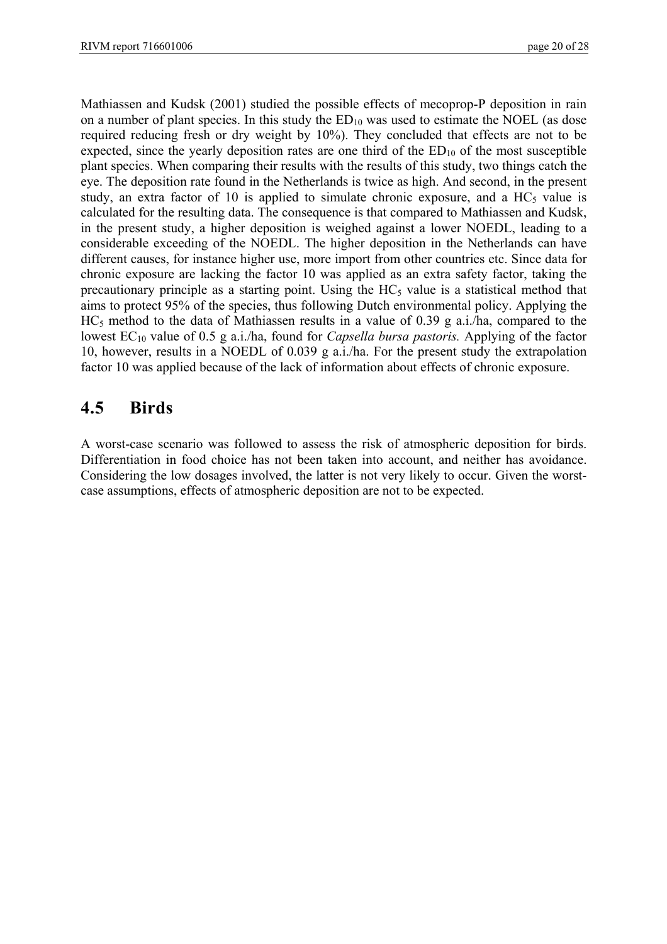Mathiassen and Kudsk (2001) studied the possible effects of mecoprop-P deposition in rain on a number of plant species. In this study the  $ED_{10}$  was used to estimate the NOEL (as dose required reducing fresh or dry weight by 10%). They concluded that effects are not to be expected, since the yearly deposition rates are one third of the  $ED_{10}$  of the most susceptible plant species. When comparing their results with the results of this study, two things catch the eye. The deposition rate found in the Netherlands is twice as high. And second, in the present study, an extra factor of 10 is applied to simulate chronic exposure, and a  $HC<sub>5</sub>$  value is calculated for the resulting data. The consequence is that compared to Mathiassen and Kudsk, in the present study, a higher deposition is weighed against a lower NOEDL, leading to a considerable exceeding of the NOEDL. The higher deposition in the Netherlands can have different causes, for instance higher use, more import from other countries etc. Since data for chronic exposure are lacking the factor 10 was applied as an extra safety factor, taking the precautionary principle as a starting point. Using the  $HC<sub>5</sub>$  value is a statistical method that aims to protect 95% of the species, thus following Dutch environmental policy. Applying the  $HC<sub>5</sub>$  method to the data of Mathiassen results in a value of 0.39 g a.i./ha, compared to the lowest EC<sub>10</sub> value of 0.5 g a.i./ha, found for *Capsella bursa pastoris*. Applying of the factor 10, however, results in a NOEDL of 0.039 g a.i./ha. For the present study the extrapolation factor 10 was applied because of the lack of information about effects of chronic exposure.

### **4.5 Birds**

A worst-case scenario was followed to assess the risk of atmospheric deposition for birds. Differentiation in food choice has not been taken into account, and neither has avoidance. Considering the low dosages involved, the latter is not very likely to occur. Given the worstcase assumptions, effects of atmospheric deposition are not to be expected.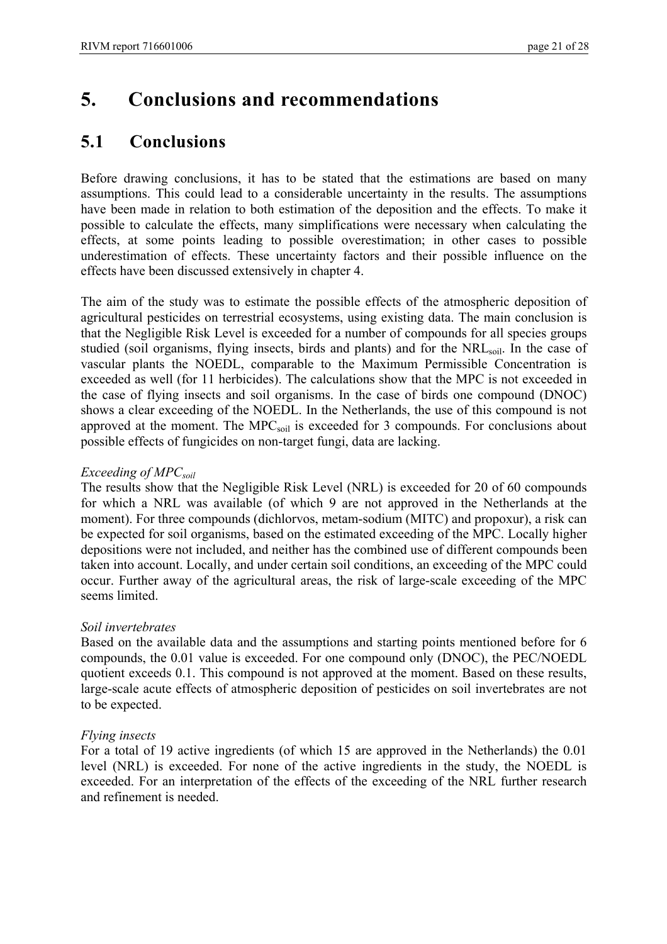## **5. Conclusions and recommendations**

#### **5.1 Conclusions**

Before drawing conclusions, it has to be stated that the estimations are based on many assumptions. This could lead to a considerable uncertainty in the results. The assumptions have been made in relation to both estimation of the deposition and the effects. To make it possible to calculate the effects, many simplifications were necessary when calculating the effects, at some points leading to possible overestimation; in other cases to possible underestimation of effects. These uncertainty factors and their possible influence on the effects have been discussed extensively in chapter 4.

The aim of the study was to estimate the possible effects of the atmospheric deposition of agricultural pesticides on terrestrial ecosystems, using existing data. The main conclusion is that the Negligible Risk Level is exceeded for a number of compounds for all species groups studied (soil organisms, flying insects, birds and plants) and for the NRL<sub>soil</sub>. In the case of vascular plants the NOEDL, comparable to the Maximum Permissible Concentration is exceeded as well (for 11 herbicides). The calculations show that the MPC is not exceeded in the case of flying insects and soil organisms. In the case of birds one compound (DNOC) shows a clear exceeding of the NOEDL. In the Netherlands, the use of this compound is not approved at the moment. The  $\text{MPC}_{\text{soil}}$  is exceeded for 3 compounds. For conclusions about possible effects of fungicides on non-target fungi, data are lacking.

#### *Exceeding of MPC<sub>soil</sub>*

The results show that the Negligible Risk Level (NRL) is exceeded for 20 of 60 compounds for which a NRL was available (of which 9 are not approved in the Netherlands at the moment). For three compounds (dichlorvos, metam-sodium (MITC) and propoxur), a risk can be expected for soil organisms, based on the estimated exceeding of the MPC. Locally higher depositions were not included, and neither has the combined use of different compounds been taken into account. Locally, and under certain soil conditions, an exceeding of the MPC could occur. Further away of the agricultural areas, the risk of large-scale exceeding of the MPC seems limited.

#### *Soil invertebrates*

Based on the available data and the assumptions and starting points mentioned before for 6 compounds, the 0.01 value is exceeded. For one compound only (DNOC), the PEC/NOEDL quotient exceeds 0.1. This compound is not approved at the moment. Based on these results, large-scale acute effects of atmospheric deposition of pesticides on soil invertebrates are not to be expected.

#### *Flying insects*

For a total of 19 active ingredients (of which 15 are approved in the Netherlands) the 0.01 level (NRL) is exceeded. For none of the active ingredients in the study, the NOEDL is exceeded. For an interpretation of the effects of the exceeding of the NRL further research and refinement is needed.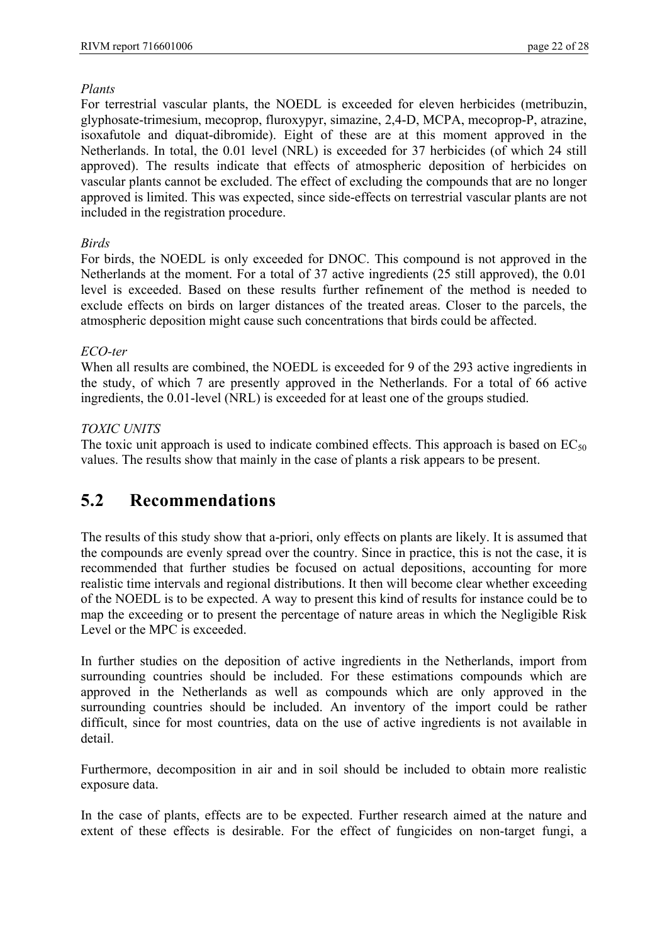#### *Plants*

For terrestrial vascular plants, the NOEDL is exceeded for eleven herbicides (metribuzin, glyphosate-trimesium, mecoprop, fluroxypyr, simazine, 2,4-D, MCPA, mecoprop-P, atrazine, isoxafutole and diquat-dibromide). Eight of these are at this moment approved in the Netherlands. In total, the 0.01 level (NRL) is exceeded for 37 herbicides (of which 24 still approved). The results indicate that effects of atmospheric deposition of herbicides on vascular plants cannot be excluded. The effect of excluding the compounds that are no longer approved is limited. This was expected, since side-effects on terrestrial vascular plants are not included in the registration procedure.

#### *Birds*

For birds, the NOEDL is only exceeded for DNOC. This compound is not approved in the Netherlands at the moment. For a total of 37 active ingredients (25 still approved), the 0.01 level is exceeded. Based on these results further refinement of the method is needed to exclude effects on birds on larger distances of the treated areas. Closer to the parcels, the atmospheric deposition might cause such concentrations that birds could be affected.

#### *ECO-ter*

When all results are combined, the NOEDL is exceeded for 9 of the 293 active ingredients in the study, of which 7 are presently approved in the Netherlands. For a total of 66 active ingredients, the 0.01-level (NRL) is exceeded for at least one of the groups studied.

#### *TOXIC UNITS*

The toxic unit approach is used to indicate combined effects. This approach is based on  $EC_{50}$ values. The results show that mainly in the case of plants a risk appears to be present.

### **5.2 Recommendations**

The results of this study show that a-priori, only effects on plants are likely. It is assumed that the compounds are evenly spread over the country. Since in practice, this is not the case, it is recommended that further studies be focused on actual depositions, accounting for more realistic time intervals and regional distributions. It then will become clear whether exceeding of the NOEDL is to be expected. A way to present this kind of results for instance could be to map the exceeding or to present the percentage of nature areas in which the Negligible Risk Level or the MPC is exceeded.

In further studies on the deposition of active ingredients in the Netherlands, import from surrounding countries should be included. For these estimations compounds which are approved in the Netherlands as well as compounds which are only approved in the surrounding countries should be included. An inventory of the import could be rather difficult, since for most countries, data on the use of active ingredients is not available in detail.

Furthermore, decomposition in air and in soil should be included to obtain more realistic exposure data.

In the case of plants, effects are to be expected. Further research aimed at the nature and extent of these effects is desirable. For the effect of fungicides on non-target fungi, a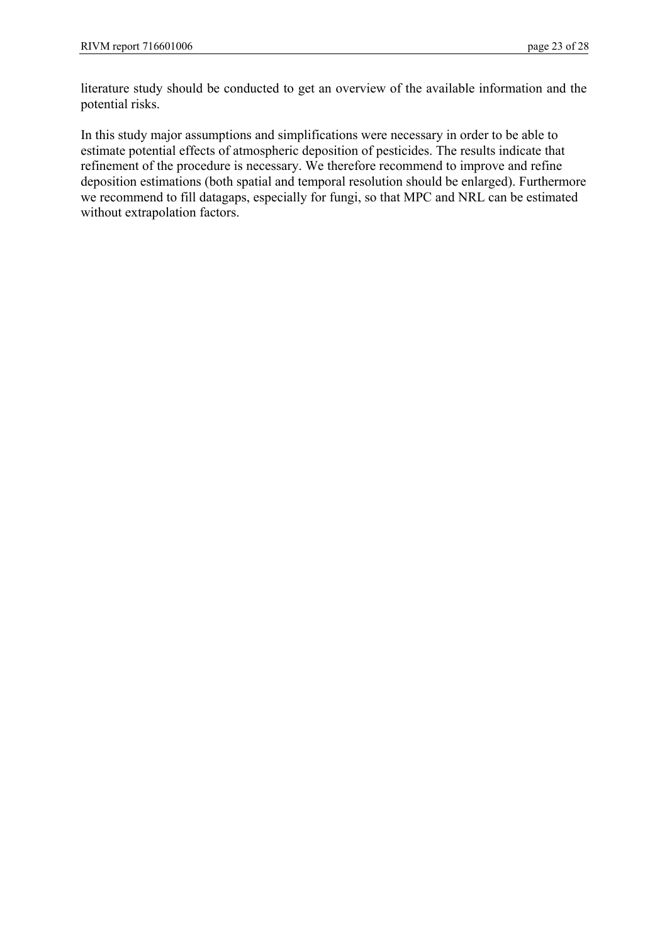literature study should be conducted to get an overview of the available information and the potential risks.

In this study major assumptions and simplifications were necessary in order to be able to estimate potential effects of atmospheric deposition of pesticides. The results indicate that refinement of the procedure is necessary. We therefore recommend to improve and refine deposition estimations (both spatial and temporal resolution should be enlarged). Furthermore we recommend to fill datagaps, especially for fungi, so that MPC and NRL can be estimated without extrapolation factors.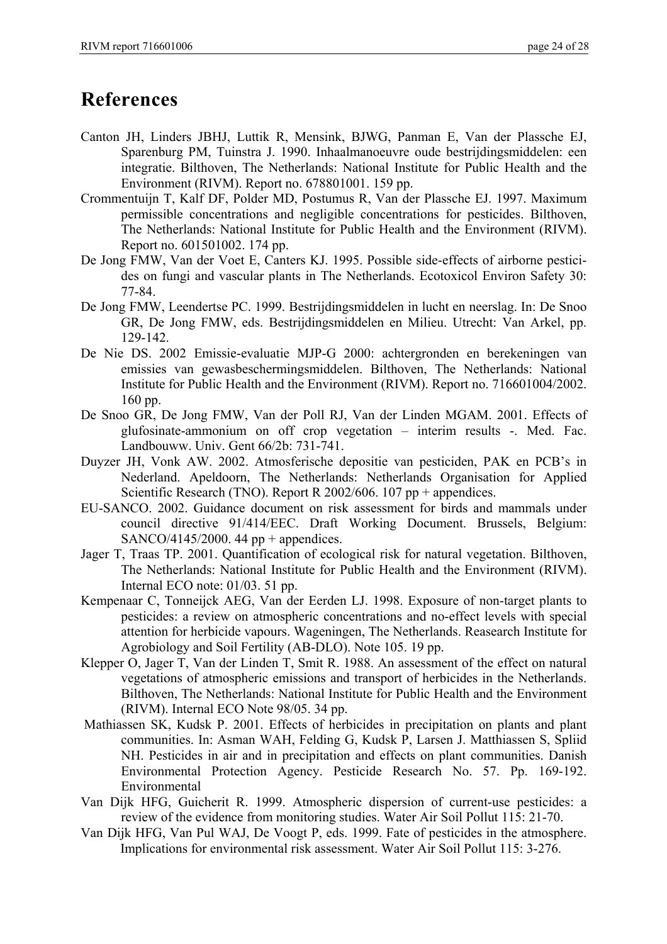## **References**

- Canton JH, Linders JBHJ, Luttik R, Mensink, BJWG, Panman E, Van der Plassche EJ, Sparenburg PM, Tuinstra J. 1990. Inhaalmanoeuvre oude bestrijdingsmiddelen: een integratie. Bilthoven, The Netherlands: National Institute for Public Health and the Environment (RIVM). Report no. 678801001. 159 pp.
- Crommentuijn T, Kalf DF, Polder MD, Postumus R, Van der Plassche EJ. 1997. Maximum permissible concentrations and negligible concentrations for pesticides. Bilthoven, The Netherlands: National Institute for Public Health and the Environment (RIVM). Report no. 601501002. 174 pp.
- De Jong FMW, Van der Voet E, Canters KJ. 1995. Possible side-effects of airborne pesticides on fungi and vascular plants in The Netherlands. Ecotoxicol Environ Safety 30: 77-84.
- De Jong FMW, Leendertse PC. 1999. Bestrijdingsmiddelen in lucht en neerslag. In: De Snoo GR, De Jong FMW, eds. Bestrijdingsmiddelen en Milieu. Utrecht: Van Arkel, pp. 129-142.
- De Nie DS. 2002 Emissie-evaluatie MJP-G 2000: achtergronden en berekeningen van emissies van gewasbeschermingsmiddelen. Bilthoven, The Netherlands: National Institute for Public Health and the Environment (RIVM). Report no. 716601004/2002. 160 pp.
- De Snoo GR, De Jong FMW, Van der Poll RJ, Van der Linden MGAM. 2001. Effects of glufosinate-ammonium on off crop vegetation – interim results -. Med. Fac. Landbouww. Univ. Gent 66/2b: 731-741.
- Duyzer JH, Vonk AW. 2002. Atmosferische depositie van pesticiden, PAK en PCB's in Nederland. Apeldoorn, The Netherlands: Netherlands Organisation for Applied Scientific Research (TNO). Report R 2002/606. 107 pp + appendices.
- EU-SANCO. 2002. Guidance document on risk assessment for birds and mammals under council directive 91/414/EEC. Draft Working Document. Brussels, Belgium: SANCO/4145/2000. 44 pp + appendices.
- Jager T, Traas TP. 2001. Quantification of ecological risk for natural vegetation. Bilthoven, The Netherlands: National Institute for Public Health and the Environment (RIVM). Internal ECO note: 01/03. 51 pp.
- Kempenaar C, Tonneijck AEG, Van der Eerden LJ. 1998. Exposure of non-target plants to pesticides: a review on atmospheric concentrations and no-effect levels with special attention for herbicide vapours. Wageningen, The Netherlands. Reasearch Institute for Agrobiology and Soil Fertility (AB-DLO). Note 105. 19 pp.
- Klepper O, Jager T, Van der Linden T, Smit R. 1988. An assessment of the effect on natural vegetations of atmospheric emissions and transport of herbicides in the Netherlands. Bilthoven, The Netherlands: National Institute for Public Health and the Environment (RIVM). Internal ECO Note 98/05. 34 pp.
- Mathiassen SK, Kudsk P. 2001. Effects of herbicides in precipitation on plants and plant communities. In: Asman WAH, Felding G, Kudsk P, Larsen J. Matthiassen S, Spliid NH. Pesticides in air and in precipitation and effects on plant communities. Danish Environmental Protection Agency. Pesticide Research No. 57. Pp. 169-192. Environmental
- Van Dijk HFG, Guicherit R. 1999. Atmospheric dispersion of current-use pesticides: a review of the evidence from monitoring studies. Water Air Soil Pollut 115: 21-70.
- Van Dijk HFG, Van Pul WAJ, De Voogt P, eds. 1999. Fate of pesticides in the atmosphere. Implications for environmental risk assessment. Water Air Soil Pollut 115: 3-276.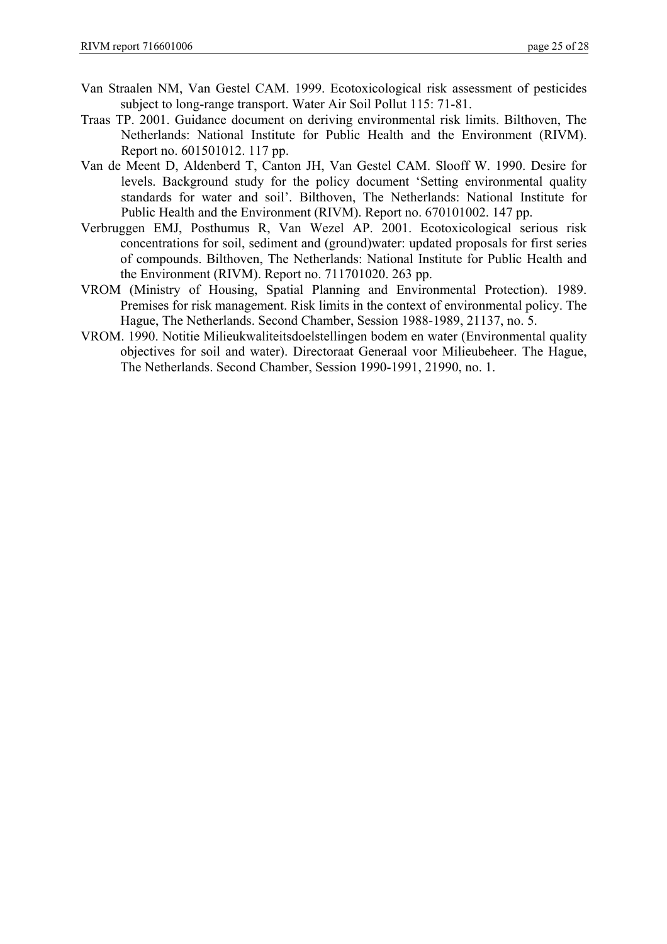- Van Straalen NM, Van Gestel CAM. 1999. Ecotoxicological risk assessment of pesticides subject to long-range transport. Water Air Soil Pollut 115: 71-81.
- Traas TP. 2001. Guidance document on deriving environmental risk limits. Bilthoven, The Netherlands: National Institute for Public Health and the Environment (RIVM). Report no. 601501012. 117 pp.
- Van de Meent D, Aldenberd T, Canton JH, Van Gestel CAM. Slooff W. 1990. Desire for levels. Background study for the policy document 'Setting environmental quality standards for water and soil'. Bilthoven, The Netherlands: National Institute for Public Health and the Environment (RIVM). Report no. 670101002. 147 pp.
- Verbruggen EMJ, Posthumus R, Van Wezel AP. 2001. Ecotoxicological serious risk concentrations for soil, sediment and (ground)water: updated proposals for first series of compounds. Bilthoven, The Netherlands: National Institute for Public Health and the Environment (RIVM). Report no. 711701020. 263 pp.
- VROM (Ministry of Housing, Spatial Planning and Environmental Protection). 1989. Premises for risk management. Risk limits in the context of environmental policy. The Hague, The Netherlands. Second Chamber, Session 1988-1989, 21137, no. 5.
- VROM. 1990. Notitie Milieukwaliteitsdoelstellingen bodem en water (Environmental quality objectives for soil and water). Directoraat Generaal voor Milieubeheer. The Hague, The Netherlands. Second Chamber, Session 1990-1991, 21990, no. 1.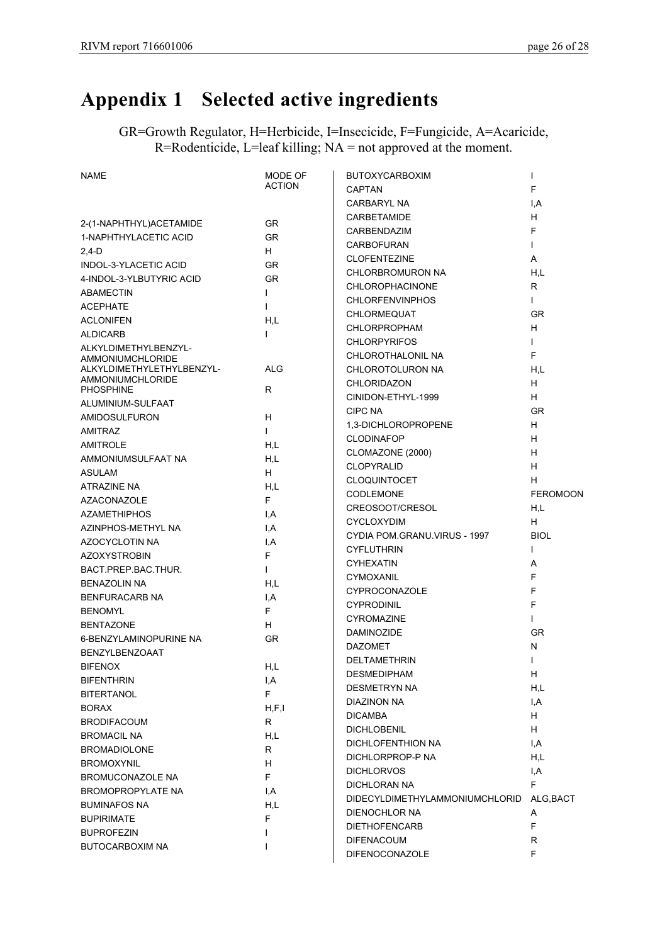# **Appendix 1 Selected active ingredients**

GR=Growth Regulator, H=Herbicide, I=Insecicide, F=Fungicide, A=Acaricide, R=Rodenticide, L=leaf killing; NA = not approved at the moment.

| <b>NAME</b>                                   | MODE OF       | <b>BUTOXYCARBOXIM</b>          | $\mathsf{I}$    |
|-----------------------------------------------|---------------|--------------------------------|-----------------|
|                                               | <b>ACTION</b> | <b>CAPTAN</b>                  | F               |
|                                               |               | <b>CARBARYL NA</b>             | I, A            |
|                                               |               | CARBETAMIDE                    | H               |
| 2-(1-NAPHTHYL)ACETAMIDE                       | <b>GR</b>     | CARBENDAZIM                    | $\mathsf F$     |
| 1-NAPHTHYLACETIC ACID                         | <b>GR</b>     | <b>CARBOFURAN</b>              | $\mathbf{I}$    |
| $2,4-D$                                       | H.            | <b>CLOFENTEZINE</b>            | A               |
| INDOL-3-YLACETIC ACID                         | <b>GR</b>     | CHLORBROMURON NA               | H,L             |
| 4-INDOL-3-YLBUTYRIC ACID                      | <b>GR</b>     | <b>CHLOROPHACINONE</b>         | R.              |
| <b>ABAMECTIN</b>                              | L             | <b>CHLORFENVINPHOS</b>         | $\mathbf{L}$    |
| <b>ACEPHATE</b>                               | $\mathbf{I}$  | CHLORMEQUAT                    | <b>GR</b>       |
| <b>ACLONIFEN</b>                              | H.L           | <b>CHLORPROPHAM</b>            | H               |
| <b>ALDICARB</b>                               | L             | <b>CHLORPYRIFOS</b>            | $\mathbf{I}$    |
| ALKYLDIMETHYLBENZYL-                          |               | CHLOROTHALONIL NA              | E               |
| AMMONIUMCHLORIDE<br>ALKYLDIMETHYLETHYLBENZYL- | <b>ALG</b>    | CHLOROTOLURON NA               | H.L             |
| <b>AMMONIUMCHLORIDE</b>                       |               | <b>CHLORIDAZON</b>             | H               |
| <b>PHOSPHINE</b>                              | R.            | CINIDON-ETHYL-1999             | H               |
| ALUMINIUM-SULFAAT                             |               | <b>CIPC NA</b>                 | <b>GR</b>       |
| AMIDOSULFURON                                 | H.            | 1,3-DICHLOROPROPENE            | н               |
| <b>AMITRAZ</b>                                | $\mathbf{I}$  | <b>CLODINAFOP</b>              | H               |
| <b>AMITROLE</b>                               | H.L           |                                | H               |
| AMMONIUMSULFAAT NA                            | H.L           | CLOMAZONE (2000)               |                 |
| <b>ASULAM</b>                                 | H.            | <b>CLOPYRALID</b>              | H               |
| <b>ATRAZINE NA</b>                            | H.L           | <b>CLOQUINTOCET</b>            | н               |
| <b>AZACONAZOLE</b>                            | F.            | <b>CODLEMONE</b>               | <b>FEROMOON</b> |
| <b>AZAMETHIPHOS</b>                           | I.A           | CREOSOOT/CRESOL                | H,L             |
| AZINPHOS-METHYL NA                            | I,A           | <b>CYCLOXYDIM</b>              | H               |
| AZOCYCLOTIN NA                                | I.A           | CYDIA POM.GRANU.VIRUS - 1997   | <b>BIOL</b>     |
| <b>AZOXYSTROBIN</b>                           | F.            | <b>CYFLUTHRIN</b>              | L               |
| BACT PREP BAC THUR.                           | $\mathbf{L}$  | <b>CYHEXATIN</b>               | A               |
| <b>BENAZOLIN NA</b>                           | H,L           | CYMOXANIL                      | F               |
| BENFURACARB NA                                | I,A           | <b>CYPROCONAZOLE</b>           | F               |
| <b>BENOMYL</b>                                | F.            | <b>CYPRODINIL</b>              | F               |
| <b>BENTAZONE</b>                              | H.            | <b>CYROMAZINE</b>              | $\mathsf{I}$    |
| 6-BENZYLAMINOPURINE NA                        | <b>GR</b>     | DAMINOZIDE                     | <b>GR</b>       |
| <b>BENZYLBENZOAAT</b>                         |               | <b>DAZOMET</b>                 | N               |
| <b>BIFENOX</b>                                | H.L           | DELTAMETHRIN                   | $\mathbf{I}$    |
| <b>BIFENTHRIN</b>                             |               | <b>DESMEDIPHAM</b>             | H               |
|                                               | I,A<br>F.     | DESMETRYN NA                   | H,L             |
| <b>BITERTANOL</b>                             |               | DIAZINON NA                    | I, A            |
| <b>BORAX</b>                                  | H, F, I       | <b>DICAMBA</b>                 | H               |
| <b>BRODIFACOUM</b>                            | R.            | <b>DICHLOBENIL</b>             | H               |
| <b>BROMACIL NA</b>                            | H,L           | DICHLOFENTHION NA              | I,A             |
| <b>BROMADIOLONE</b>                           | R             | DICHLORPROP-P NA               | H,L             |
| <b>BROMOXYNIL</b>                             | H.            | <b>DICHLORVOS</b>              | I, A            |
| <b>BROMUCONAZOLE NA</b>                       | F.            | DICHLORAN NA                   | F               |
| BROMOPROPYLATE NA                             | I,A           | DIDECYLDIMETHYLAMMONIUMCHLORID | ALG, BACT       |
| <b>BUMINAFOS NA</b>                           | H,L           | DIENOCHLOR NA                  | Α               |
| <b>BUPIRIMATE</b>                             | F.            | <b>DIETHOFENCARB</b>           | F               |
| <b>BUPROFEZIN</b>                             | L             | <b>DIFENACOUM</b>              | R               |
| BUTOCARBOXIM NA                               | T             | DIFENOCONAZOLE                 | F.              |
|                                               |               |                                |                 |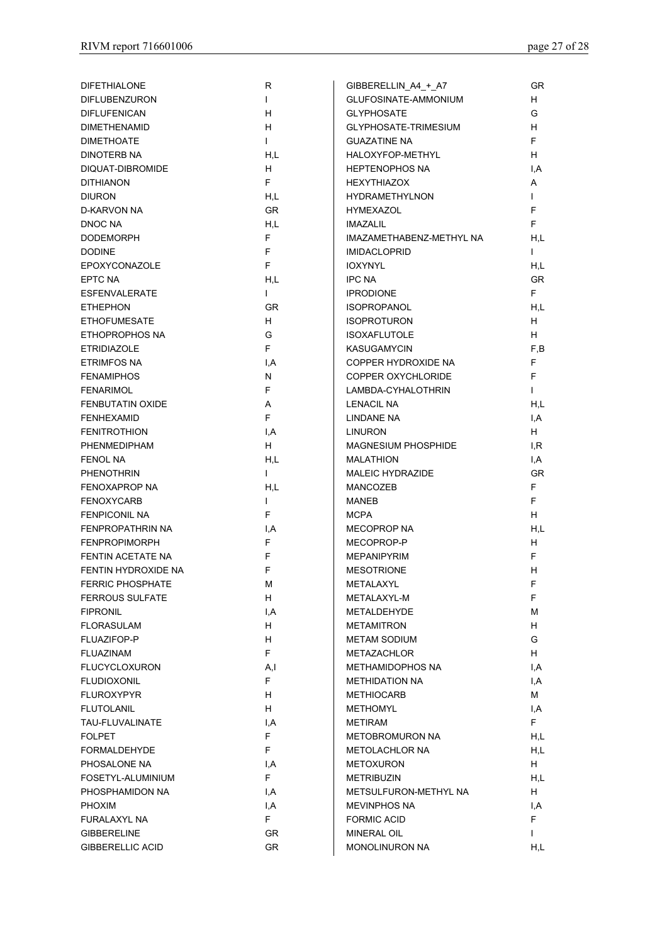| <b>DIFETHIALONE</b>     | R            | GIBBERELLIN A4 + A7        | <b>GR</b>               |
|-------------------------|--------------|----------------------------|-------------------------|
| <b>DIFLUBENZURON</b>    | $\mathbf{L}$ | GLUFOSINATE-AMMONIUM       | H.                      |
| <b>DIFLUFENICAN</b>     | H            | <b>GLYPHOSATE</b>          | G                       |
| <b>DIMETHENAMID</b>     | H.           | GLYPHOSATE-TRIMESIUM       | H.                      |
| <b>DIMETHOATE</b>       | $\mathbf{I}$ | <b>GUAZATINE NA</b>        | F.                      |
| DINOTERB NA             | H.L          | HALOXYFOP-METHYL           | H.                      |
| DIQUAT-DIBROMIDE        | H.           | <b>HEPTENOPHOS NA</b>      | $\mathsf{I}.\mathsf{A}$ |
| <b>DITHIANON</b>        | F.           | <b>HEXYTHIAZOX</b>         | A                       |
| <b>DIURON</b>           | H.L          | <b>HYDRAMETHYLNON</b>      | $\mathbf{I}$            |
| D-KARVON NA             | <b>GR</b>    | <b>HYMEXAZOL</b>           | F.                      |
| DNOC NA                 | H.L          | <b>IMAZALIL</b>            | F.                      |
|                         | F            | IMAZAMETHABENZ-METHYL NA   | H.L                     |
| <b>DODEMORPH</b>        |              |                            |                         |
| <b>DODINE</b>           | F            | <b>IMIDACLOPRID</b>        | $\mathbf{I}$            |
| EPOXYCONAZOLE           | F            | <b>IOXYNYL</b>             | H.L                     |
| EPTC NA                 | H.L          | <b>IPC NA</b>              | <b>GR</b>               |
| <b>ESFENVALERATE</b>    | $\mathbf{I}$ | <b>IPRODIONE</b>           | F.                      |
| <b>ETHEPHON</b>         | <b>GR</b>    | <b>ISOPROPANOL</b>         | H,L                     |
| <b>ETHOFUMESATE</b>     | H.           | <b>ISOPROTURON</b>         | H.                      |
| ETHOPROPHOS NA          | G            | <b>ISOXAFLUTOLE</b>        | H.                      |
| <b>ETRIDIAZOLE</b>      | F.           | <b>KASUGAMYCIN</b>         | F,B                     |
| <b>ETRIMFOS NA</b>      | I.A          | COPPER HYDROXIDE NA        | F.                      |
| <b>FENAMIPHOS</b>       | N            | COPPER OXYCHLORIDE         | F.                      |
| <b>FENARIMOL</b>        | F            | LAMBDA-CYHALOTHRIN         | $\mathbf{I}$            |
| <b>FENBUTATIN OXIDE</b> | A            | <b>LENACIL NA</b>          | H.L                     |
| <b>FENHEXAMID</b>       | F.           | LINDANE NA                 | I,A                     |
| <b>FENITROTHION</b>     | I,A          | <b>LINURON</b>             | H.                      |
| PHENMEDIPHAM            | H.           | <b>MAGNESIUM PHOSPHIDE</b> | I.R                     |
| <b>FENOL NA</b>         | H,L          | <b>MALATHION</b>           | I,A                     |
| <b>PHENOTHRIN</b>       | $\mathbf{I}$ | <b>MALEIC HYDRAZIDE</b>    | <b>GR</b>               |
| FENOXAPROP NA           | H.L          | <b>MANCOZEB</b>            | F.                      |
| <b>FENOXYCARB</b>       | $\mathbf{I}$ | <b>MANEB</b>               | F.                      |
| <b>FENPICONIL NA</b>    | F            | <b>MCPA</b>                | H.                      |
| FENPROPATHRIN NA        | I,A          | <b>MECOPROP NA</b>         | H,L                     |
| <b>FENPROPIMORPH</b>    | F.           | MECOPROP-P                 | H.                      |
| FENTIN ACETATE NA       | F            | <b>MEPANIPYRIM</b>         | F.                      |
| FENTIN HYDROXIDE NA     | F            | <b>MESOTRIONE</b>          | H                       |
| <b>FERRIC PHOSPHATE</b> | м            | METALAXYL                  | F.                      |
| <b>FERROUS SULFATE</b>  | H.           | METALAXYL-M                | F.                      |
| <b>FIPRONIL</b>         | I,A          | <b>METALDEHYDE</b>         | м                       |
|                         | H.           | <b>METAMITRON</b>          | H.                      |
| <b>FLORASULAM</b>       |              |                            |                         |
| FLUAZIFOP-P             | H.           | <b>METAM SODIUM</b>        | G                       |
| FLUAZINAM               | F.           | <b>METAZACHLOR</b>         | H.                      |
| <b>FLUCYCLOXURON</b>    | A, I         | METHAMIDOPHOS NA           | I,A                     |
| <b>FLUDIOXONIL</b>      | F.           | <b>METHIDATION NA</b>      | I,A                     |
| <b>FLUROXYPYR</b>       | H.           | <b>METHIOCARB</b>          | м                       |
| <b>FLUTOLANIL</b>       | H.           | <b>METHOMYL</b>            | I,A                     |
| TAU-FLUVALINATE         | I,A          | <b>METIRAM</b>             | F.                      |
| <b>FOLPET</b>           | F.           | <b>METOBROMURON NA</b>     | H,L                     |
| <b>FORMALDEHYDE</b>     | F.           | <b>METOLACHLOR NA</b>      | H,L                     |
| PHOSALONE NA            | I,A          | <b>METOXURON</b>           | H.                      |
| FOSETYL-ALUMINIUM       | F.           | <b>METRIBUZIN</b>          | H,L                     |
| PHOSPHAMIDON NA         | I,A          | METSULFURON-METHYL NA      | H.                      |
| <b>PHOXIM</b>           | I,A          | <b>MEVINPHOS NA</b>        | I,A                     |
| FURALAXYL NA            | F.           | <b>FORMIC ACID</b>         | F.                      |
| <b>GIBBERELINE</b>      | GR           | <b>MINERAL OIL</b>         | $\mathbf{L}$            |
| <b>GIBBERELLIC ACID</b> | <b>GR</b>    | <b>MONOLINURON NA</b>      | H,L                     |